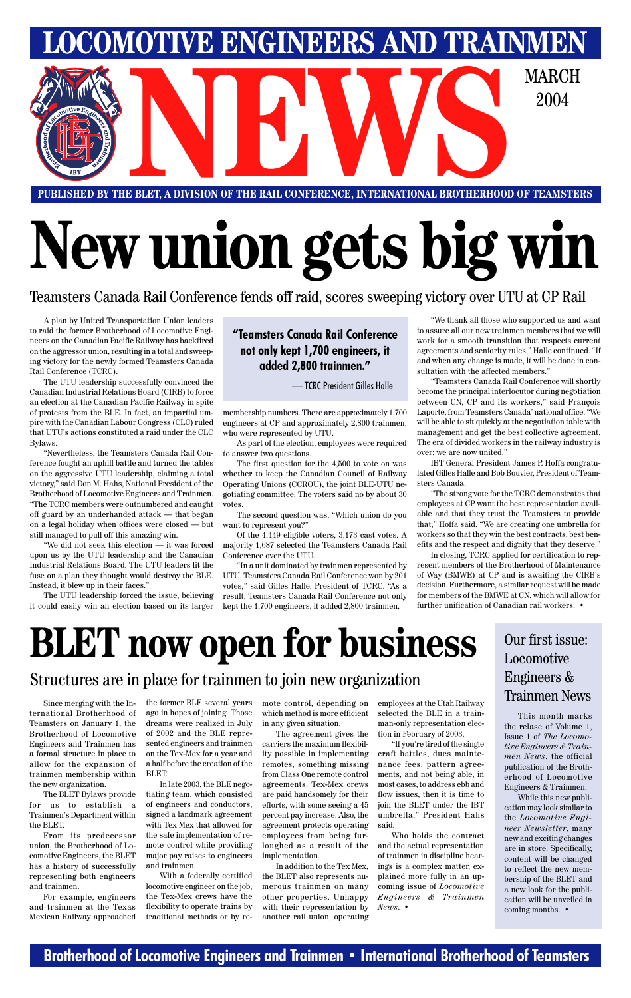### **Brotherhood of Locomotive Engineers and Trainmen • International Brotherhood of Teamsters**

# **New union gets big win**

Teamsters Canada Rail Conference fends off raid, scores sweeping victory over UTU at CP Rail

**PUBLISHED BY THE BLET, A DIVISION OF THE RAIL CONFERENCE, INTERNATIONAL BROTHERHOOD OF TEAMSTERS** E BLET, A DIVISION OF THE RAIL CONFERENCE, INTERNATIONAL BROTHERHOOD OF TEAMSTE

#### **"Teamsters Canada Rail Conference not only kept 1,700 engineers, it added 2,800 trainmen."**

# **BLET now open for business**

**LOMOTIVE ENGINEERS AND TRAINMEN** 

2004

Brotherhood of Locomotive Engineers and Trainmen has a formal structure in place to allow for the expansion of trainmen membership within the new organization.

The BLET Bylaws provide for us to establish a Trainmen's Department within the BLET.

ternational Brotherhood of ago in hopes of joining. Those Teamsters on January 1, the dreams were realized in July

Since merging with the In-the former BLE several years of 2002 and the BLE represented engineers and trainmen on the Tex-Mex for a year and a half before the creation of the BLET.

From its predecessor union, the Brotherhood of Locomotive Engineers, the BLET has a history of successfully representing both engineers and trainmen.

For example, engineers and trainmen at the Texas Mexican Railway approached

In late 2003, the BLE negotiating team, which consisted of engineers and conductors, signed a landmark agreement with Tex Mex that allowed for the safe implementation of remote control while providing major pay raises to engineers and trainmen.

With a federally certified locomotive engineer on the job, the Tex-Mex crews have the flexibility to operate trains by traditional methods or by re-

mote control, depending on employees at the Utah Railway which method is more efficient in any given situation. The agreement gives the carriers the maximum flexibility possible in implementing remotes, something missing from Class One remote control agreements. Tex-Mex crews are paid handsomely for their efforts, with some seeing a 45 percent pay increase. Also, the agreement protects operating employees from being furloughed as a result of the implementation. In addition to the Tex Mex, the BLET also represents numerous trainmen on many other properties. Unhappy with their representation by another rail union, operating

selected the BLE in a trainman-only representation election in February of 2003.

"If you're tired of the single craft battles, dues maintenance fees, pattern agreements, and not being able, in most cases, to address ebb and flow issues, then it is time to join the BLET under the IBT umbrella," President Hahs said.

Who holds the contract and the actual representation of trainmen in discipline hearings is a complex matter, explained more fully in an upcoming issue of *Locomotive Engineers & Trainmen News*. •

### Structures are in place for trainmen to join new organization

A plan by United Transportation Union leaders to raid the former Brotherhood of Locomotive Engineers on the Canadian Pacific Railway has backfired on the aggressor union, resulting in a total and sweeping victory for the newly formed Teamsters Canada Rail Conference (TCRC).

The UTU leadership successfully convinced the Canadian Industrial Relations Board (CIRB) to force an election at the Canadian Pacific Railway in spite of protests from the BLE. In fact, an impartial umpire with the Canadian Labour Congress (CLC) ruled that UTU's actions constituted a raid under the CLC Bylaws.

"Nevertheless, the Teamsters Canada Rail Conference fought an uphill battle and turned the tables on the aggressive UTU leadership, claiming a total victory," said Don M. Hahs, National President of the Brotherhood of Locomotive Engineers and Trainmen. "The TCRC members were outnumbered and caught off guard by an underhanded attack — that began on a legal holiday when offices were closed — but still managed to pull off this amazing win.

"We did not seek this election — it was forced upon us by the UTU leadership and the Canadian Industrial Relations Board. The UTU leaders lit the fuse on a plan they thought would destroy the BLE. Instead, it blew up in their faces."

The UTU leadership forced the issue, believing it could easily win an election based on its larger membership numbers. There are approximately 1,700 engineers at CP and approximately 2,800 trainmen, who were represented by UTU.

As part of the election, employees were required to answer two questions.

The first question for the 4,500 to vote on was whether to keep the Canadian Council of Railway Operating Unions (CCROU), the joint BLE-UTU negotiating committee. The voters said no by about 30 votes.

The second question was, "Which union do you want to represent you?"

Of the 4,449 eligible voters, 3,173 cast votes. A majority 1,687 selected the Teamsters Canada Rail Conference over the UTU.

"In a unit dominated by trainmen represented by UTU, Teamsters Canada Rail Conference won by 201 votes," said Gilles Halle, President of TCRC. "As a result, Teamsters Canada Rail Conference not only kept the 1,700 engineers, it added 2,800 trainmen.

"We thank all those who supported us and want to assure all our new trainmen members that we will work for a smooth transition that respects current agreements and seniority rules," Halle continued. "If and when any change is made, it will be done in consultation with the affected members."

"Teamsters Canada Rail Conference will shortly become the principal interlocutor during negotiation between CN, CP and its workers," said François Laporte, from Teamsters Canada' national office. "We will be able to sit quickly at the negotiation table with management and get the best collective agreement. The era of divided workers in the railway industry is over; we are now united."

IBT General President James P. Hoffa congratulated Gilles Halle and Bob Bouvier, President of Teamsters Canada.

"The strong vote for the TCRC demonstrates that employees at CP want the best representation available and that they trust the Teamsters to provide that," Hoffa said. "We are creating one umbrella for workers so that they win the best contracts, best benefits and the respect and dignity that they deserve."

In closing, TCRC applied for certification to represent members of the Brotherhood of Maintenance of Way (BMWE) at CP and is awaiting the CIRB's decision. Furthermore, a similar request will be made for members of the BMWE at CN, which will allow for further unification of Canadian rail workers. •

— TCRC President Gilles Halle

### Our first issue: Locomotive Engineers & Trainmen News

This month marks the relase of Volume 1, Issue 1 of *The Locomotive Engineers & Trainmen News*, the official publication of the Brotherhood of Locomotive Engineers & Trainmen. While this new publication may look similar to the *Locomotive Engineer Newsletter*, many new and exciting changes are in store. Specifically, content will be changed to reflect the new membership of the BLET and a new look for the publication will be unveiled in coming months. •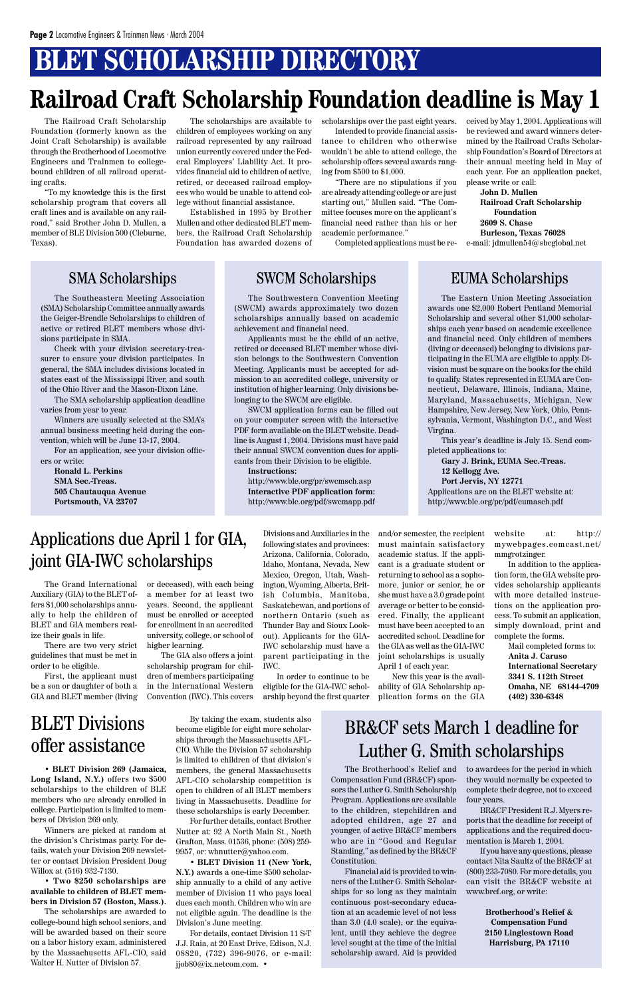# **BLET SCHOLARSHIP DIRECTORY**

## **Railroad Craft Scholarship Foundation deadline is May 1**

The Eastern Union Meeting Association awards one \$2,000 Robert Pentland Memorial Scholarship and several other \$1,000 scholarships each year based on academic excellence and financial need. Only children of members (living or deceased) belonging to divisions participating in the EUMA are eligible to apply. Division must be square on the books for the child to qualify. States represented in EUMA are Connecticut, Delaware, Illinois, Indiana, Maine, Maryland, Massachusetts, Michigan, New Hampshire, New Jersey, New York, Ohio, Pennsylvania, Vermont, Washington D.C., and West Virgina.

This year's deadline is July 15. Send completed applications to:

**Gary J. Brink, EUMA Sec.-Treas. 12 Kellogg Ave. Port Jervis, NY 12771** Applications are on the BLET website at:

http://www.ble.org/pr/pdf/eumasch.pdf

The Southeastern Meeting Association (SMA) Scholarship Committee annually awards the Geiger-Brendle Scholarships to children of active or retired BLET members whose divisions participate in SMA.

Check with your division secretary-treasurer to ensure your division participates. In general, the SMA includes divisions located in states east of the Mississippi River, and south of the Ohio River and the Mason-Dixon Line.

The SMA scholarship application deadline varies from year to year.

Winners are usually selected at the SMA's annual business meeting held during the convention, which will be June 13-17, 2004.

For an application, see your division officers or write:

**Ronald L. Perkins SMA Sec.-Treas. 505 Chautauqua Avenue Portsmouth, VA 23707**

### SMA Scholarships SWCM Scholarships EUMA Scholarships

The Southwestern Convention Meeting (SWCM) awards approximately two dozen scholarships annually based on academic achievement and financial need.

Applicants must be the child of an active, retired or deceased BLET member whose division belongs to the Southwestern Convention Meeting. Applicants must be accepted for admission to an accredited college, university or institution of higher learning. Only divisions belonging to the SWCM are eligible.

SWCM application forms can be filled out on your computer screen with the interactive PDF form available on the BLET website. Deadline is August 1, 2004. Divisions must have paid their annual SWCM convention dues for applicants from their Division to be eligible.

**Instructions:** http://www.ble.org/pr/swcmsch.asp **Interactive PDF application form:** http://www.ble.org/pdf/swcmapp.pdf

BLET Divisions

### offer assistance

• **BLET Division 269 (Jamaica, Long Island, N.Y.)** offers two \$500 scholarships to the children of BLE members who are already enrolled in college. Participation is limited to members of Division 269 only.

Winners are picked at random at the division's Christmas party. For details, watch your Division 269 newsletter or contact Division President Doug Willox at (516) 932-7130.

• **Two \$250 scholarships are available to children of BLET members in Division 57 (Boston, Mass.).**

The scholarships are awarded to college-bound high school seniors, and will be awarded based on their score on a labor history exam, administered by the Massachusetts AFL-CIO, said Walter H. Nutter of Division 57.

By taking the exam, students also become eligible for eight more scholar-

ships through the Massachusetts AFL-CIO. While the Division 57 scholarship is limited to children of that division's members, the general Massachusetts AFL-CIO scholarship competition is open to children of all BLET members living in Massachusetts. Deadline for these scholarships is early December.

For further details, contact Brother Nutter at: 92 A North Main St., North Grafton, Mass. 01536, phone: (508) 259- 9957, or: whnutter@yahoo.com.

• **BLET Division 11 (New York, N.Y.)** awards a one-time \$500 scholarship annually to a child of any active member of Division 11 who pays local dues each month. Children who win are not eligible again. The deadline is the Division's June meeting.

For details, contact Division 11 S-T J.J. Raia, at 20 East Drive, Edison, N.J. 08820, (732) 396-9076, or e-mail: jjob80@ix.netcom.com. •

#### BR&CF sets March 1 deadline for

### Luther G. Smith scholarships

The Brotherhood's Relief and Compensation Fund (BR&CF) sponsors the Luther G. Smith Scholarship Program. Applications are available to the children, stepchildren and adopted children, age 27 and younger, of active BR&CF members who are in "Good and Regular Standing," as defined by the BR&CF Constitution.

Financial aid is provided to winners of the Luther G. Smith Scholarships for so long as they maintain continuous post-secondary education at an academic level of not less than 3.0 (4.0 scale), or the equivalent, until they achieve the degree level sought at the time of the initial scholarship award. Aid is provided to awardees for the period in which they would normally be expected to complete their degree, not to exceed four years.

BR&CF President R.J. Myers reports that the deadline for receipt of applications and the required documentation is March 1, 2004.

If you have any questions, please contact Nita Saultz of the BR&CF at (800) 233-7080. For more details, you can visit the BR&CF website at www.brcf.org, or write:

> **Brotherhood's Relief & Compensation Fund 2150 Linglestown Road Harrisburg, PA 17110**

The Grand International Auxiliary (GIA) to the BLET offers \$1,000 scholarships annually to help the children of BLET and GIA members realize their goals in life.

There are two very strict guidelines that must be met in order to be eligible.

First, the applicant must be a son or daughter of both a GIA and BLET member (living or deceased), with each being a member for at least two years. Second, the applicant must be enrolled or accepted for enrollment in an accredited university, college, or school of higher learning.

The GIA also offers a joint scholarship program for children of members participating in the International Western Convention (IWC). This covers

Divisions and Auxiliaries in the following states and provinces: Arizona, California, Colorado, Idaho, Montana, Nevada, New Mexico, Oregon, Utah, Washington, Wyoming, Alberta, British Columbia, Manitoba, Saskatchewan, and portions of northern Ontario (such as Thunder Bay and Sioux Lookout). Applicants for the GIA-IWC scholarship must have a parent participating in the IWC.

In order to continue to be eligible for the GIA-IWC scholarship beyond the first quarter and/or semester, the recipient must maintain satisfactory academic status. If the applicant is a graduate student or returning to school as a sophomore, junior or senior, he or she must have a 3.0 grade point average or better to be considered. Finally, the applicant must have been accepted to an accredited school. Deadline for the GIA as well as the GIA-IWC joint scholarships is usually April 1 of each year.

New this year is the availability of GIA Scholarship application forms on the GIA website at: http:// mywebpages.comcast.net/ mmgrotzinger.

In addition to the application form, the GIA website provides scholarship applicants with more detailed instructions on the application process. To submit an application, simply download, print and complete the forms.

> Mail completed forms to: **Anita J. Caruso International Secretary 3341 S. 112th Street Omaha, NE 68144-4709 (402) 330-6348**

### Applications due April 1 for GIA, joint GIA-IWC scholarships

The Railroad Craft Scholarship Foundation (formerly known as the Joint Craft Scholarship) is available through the Brotherhood of Locomotive Engineers and Trainmen to collegebound children of all railroad operating crafts.

"To my knowledge this is the first scholarship program that covers all craft lines and is available on any railroad," said Brother John D. Mullen, a member of BLE Division 500 (Cleburne, Texas).

The scholarships are available to children of employees working on any railroad represented by any railroad union currently covered under the Federal Employers' Liability Act. It provides financial aid to children of active, retired, or deceased railroad employees who would be unable to attend college without financial assistance.

Established in 1995 by Brother Mullen and other dedicated BLET members, the Railroad Craft Scholarship Foundation has awarded dozens of scholarships over the past eight years.

Intended to provide financial assistance to children who otherwise wouldn't be able to attend college, the scholarship offers several awards ranging from \$500 to \$1,000.

"There are no stipulations if you are already attending college or are just starting out," Mullen said. "The Committee focuses more on the applicant's financial need rather than his or her academic performance."

Completed applications must be re-

ceived by May 1, 2004. Applications will be reviewed and award winners determined by the Railroad Crafts Scholarship Foundation's Board of Directors at their annual meeting held in May of each year. For an application packet, please write or call:

**John D. Mullen Railroad Craft Scholarship Foundation 2609 S. Chase Burleson, Texas 76028** e-mail: jdmullen54@sbcglobal.net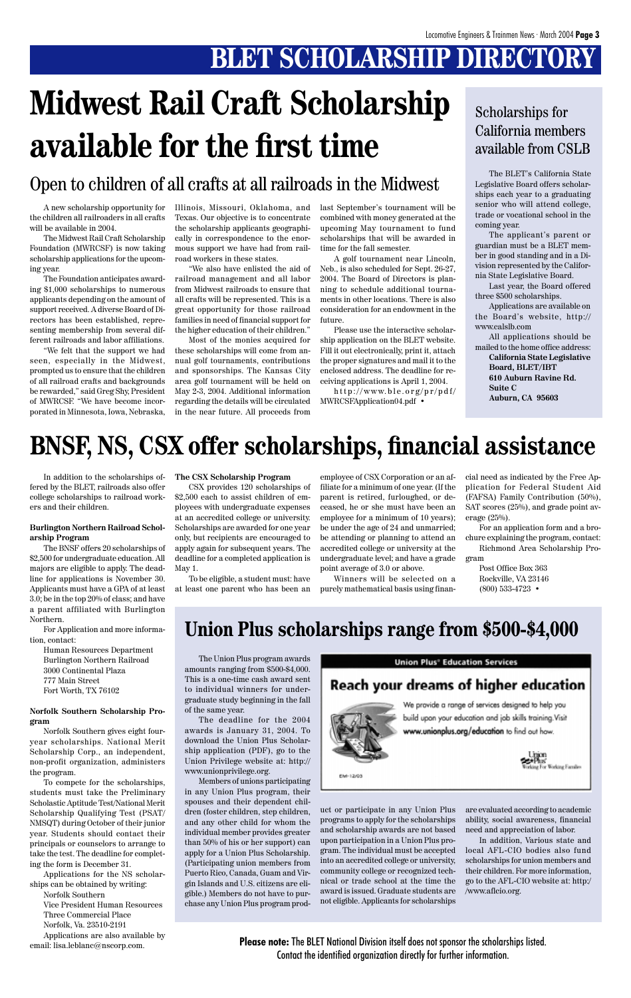# **BLET SCHOLARSHIP DIRECTORY**

In addition to the scholarships offered by the BLET, railroads also offer college scholarships to railroad workers and their children.

#### **Burlington Northern Railroad Scholarship Program**

The BNSF offers 20 scholarships of \$2,500 for undergraduate education. All majors are eligible to apply. The deadline for applications is November 30. Applicants must have a GPA of at least 3.0; be in the top 20% of class; and have a parent affiliated with Burlington Northern.

For Application and more information, contact:

Human Resources Department Burlington Northern Railroad 3000 Continental Plaza 777 Main Street Fort Worth, TX 76102

#### **Norfolk Southern Scholarship Program**

Norfolk Southern gives eight fouryear scholarships. National Merit Scholarship Corp., an independent, non-profit organization, administers the program. To compete for the scholarships, students must take the Preliminary Scholastic Aptitude Test/National Merit Scholarship Qualifying Test (PSAT/ NMSQT) during October of their junior year. Students should contact their principals or counselors to arrange to take the test. The deadline for completing the form is December 31.

Applications for the NS scholarships can be obtained by writing:

Norfolk Southern

Vice President Human Resources Three Commercial Place

Norfolk, Va. 23510-2191

Applications are also available by email: lisa.leblanc@nscorp.com.

The Union Plus program awards amounts ranging from \$500-\$4,000. This is a one-time cash award sent to individual winners for undergraduate study beginning in the fall of the same year.

The deadline for the 2004 awards is January 31, 2004. To download the Union Plus Scholarship application (PDF), go to the Union Privilege website at: http:// www.unionprivilege.org. Members of unions participating in any Union Plus program, their spouses and their dependent children (foster children, step children, and any other child for whom the individual member provides greater than 50% of his or her support) can apply for a Union Plus Scholarship. (Participating union members from Puerto Rico, Canada, Guam and Virgin Islands and U.S. citizens are eligible.) Members do not have to purchase any Union Plus program prod-

#### **Union Plus<sup>®</sup> Education Services**

### **Reach your dreams of higher education**



We provide a range of services designed to help you

uct or participate in any Union Plus programs to apply for the scholarships and scholarship awards are not based upon participation in a Union Plus program. The individual must be accepted into an accredited college or university, community college or recognized technical or trade school at the time the award is issued. Graduate students are not eligible. Applicants for scholarships are evaluated according to academic ability, social awareness, financial need and appreciation of labor.

In addition, Various state and local AFL-CIO bodies also fund scholarships for union members and their children. For more information, go to the AFL-CIO website at: http:/ /www.aflcio.org.

A new scholarship opportunity for the children all railroaders in all crafts will be available in 2004.

The Midwest Rail Craft Scholarship Foundation (MWRCSF) is now taking scholarship applications for the upcoming year.

The Foundation anticipates awarding \$1,000 scholarships to numerous applicants depending on the amount of support received. A diverse Board of Directors has been established, representing membership from several different railroads and labor affiliations.

"We felt that the support we had seen, especially in the Midwest, prompted us to ensure that the children of all railroad crafts and backgrounds be rewarded," said Greg Shy, President of MWRCSF. "We have become incorporated in Minnesota, Iowa, Nebraska,

Illinois, Missouri, Oklahoma, and Texas. Our objective is to concentrate the scholarship applicants geographically in correspondence to the enormous support we have had from railroad workers in these states.

"We also have enlisted the aid of railroad management and all labor from Midwest railroads to ensure that all crafts will be represented. This is a great opportunity for those railroad families in need of financial support for the higher education of their children."

Most of the monies acquired for these scholarships will come from annual golf tournaments, contributions and sponsorships. The Kansas City area golf tournament will be held on May 2-3, 2004. Additional information regarding the details will be circulated in the near future. All proceeds from

last September's tournament will be combined with money generated at the upcoming May tournament to fund scholarships that will be awarded in time for the fall semester.

A golf tournament near Lincoln, Neb., is also scheduled for Sept. 26-27, 2004. The Board of Directors is planning to schedule additional tournaments in other locations. There is also consideration for an endowment in the future.

Please use the interactive scholarship application on the BLET website. Fill it out electronically, print it, attach the proper signatures and mail it to the enclosed address. The deadline for receiving applications is April 1, 2004.

http://www.ble.org/pr/pdf/ MWRCSFApplication04.pdf •

# **Midwest Rail Craft Scholarship available for the first time**

The BLET's California State Legislative Board offers scholarships each year to a graduating senior who will attend college, trade or vocational school in the coming year.

The applicant's parent or guardian must be a BLET member in good standing and in a Division represented by the California State Legislative Board.

Last year, the Board offered three \$500 scholarships.

Applications are available on the Board's website, http:// www.calslb.com

All applications should be mailed to the home office address:

**California State Legislative Board, BLET/IBT 610 Auburn Ravine Rd. Suite C Auburn, CA 95603**

### Scholarships for California members available from CSLB

### Open to children of all crafts at all railroads in the Midwest

# **BNSF, NS, CSX offer scholarships, financial assistance**

#### **The CSX Scholarship Program**

CSX provides 120 scholarships of \$2,500 each to assist children of employees with undergraduate expenses at an accredited college or university. Scholarships are awarded for one year only, but recipients are encouraged to apply again for subsequent years. The deadline for a completed application is May 1.

To be eligible, a student must: have at least one parent who has been an employee of CSX Corporation or an affiliate for a minimum of one year. (If the parent is retired, furloughed, or deceased, he or she must have been an employee for a minimum of 10 years); be under the age of 24 and unmarried; be attending or planning to attend an accredited college or university at the undergraduate level; and have a grade point average of 3.0 or above.

Winners will be selected on a purely mathematical basis using finan-

cial need as indicated by the Free Application for Federal Student Aid (FAFSA) Family Contribution (50%), SAT scores (25%), and grade point average (25%).

For an application form and a brochure explaining the program, contact: Richmond Area Scholarship Pro-

gram

Post Office Box 363 Rockville, VA 23146 (800) 533-4723 •

### **Union Plus scholarships range from \$500-\$4,000**

**Please note:** The BLET National Division itself does not sponsor the scholarships listed. Contact the identified organization directly for further information.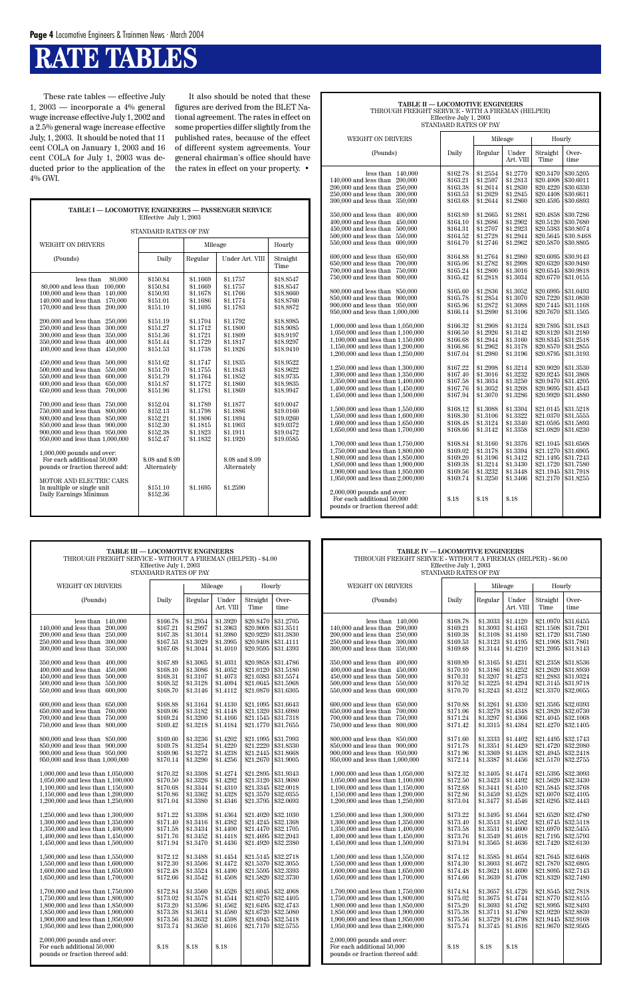### **RATE TABLES**

| <b>TABLE I — LOCOMOTIVE ENGINEERS — PASSENGER SERVICE</b><br>Effective July 1, 2003                                                                                                                                                                                                                                                                                                                                                                                                                                                                                                                                                                                                                                                                                                                                                                                                                                                                |                                                                                                                                                                                                                                                                                                                    |                                                                                                                                                                                                                                                                      |                                                                                                                                                                                                                                                                                                        |                                                                                                                                                                                                                                                                               |  |  |  |  |  |  |
|----------------------------------------------------------------------------------------------------------------------------------------------------------------------------------------------------------------------------------------------------------------------------------------------------------------------------------------------------------------------------------------------------------------------------------------------------------------------------------------------------------------------------------------------------------------------------------------------------------------------------------------------------------------------------------------------------------------------------------------------------------------------------------------------------------------------------------------------------------------------------------------------------------------------------------------------------|--------------------------------------------------------------------------------------------------------------------------------------------------------------------------------------------------------------------------------------------------------------------------------------------------------------------|----------------------------------------------------------------------------------------------------------------------------------------------------------------------------------------------------------------------------------------------------------------------|--------------------------------------------------------------------------------------------------------------------------------------------------------------------------------------------------------------------------------------------------------------------------------------------------------|-------------------------------------------------------------------------------------------------------------------------------------------------------------------------------------------------------------------------------------------------------------------------------|--|--|--|--|--|--|
| STANDARD RATES OF PAY                                                                                                                                                                                                                                                                                                                                                                                                                                                                                                                                                                                                                                                                                                                                                                                                                                                                                                                              |                                                                                                                                                                                                                                                                                                                    |                                                                                                                                                                                                                                                                      |                                                                                                                                                                                                                                                                                                        |                                                                                                                                                                                                                                                                               |  |  |  |  |  |  |
| WEIGHT ON DRIVERS                                                                                                                                                                                                                                                                                                                                                                                                                                                                                                                                                                                                                                                                                                                                                                                                                                                                                                                                  |                                                                                                                                                                                                                                                                                                                    | Mileage                                                                                                                                                                                                                                                              |                                                                                                                                                                                                                                                                                                        | Hourly                                                                                                                                                                                                                                                                        |  |  |  |  |  |  |
| (Pounds)                                                                                                                                                                                                                                                                                                                                                                                                                                                                                                                                                                                                                                                                                                                                                                                                                                                                                                                                           | Daily                                                                                                                                                                                                                                                                                                              | Regular                                                                                                                                                                                                                                                              | Under Art. VIII                                                                                                                                                                                                                                                                                        | Straight<br>Time                                                                                                                                                                                                                                                              |  |  |  |  |  |  |
| less than<br>80,000<br>80,000 and less than<br>100.000<br>100,000 and less than<br>140,000<br>140.000 and less than<br>170,000<br>170,000 and less than<br>200,000<br>200,000 and less than<br>250,000<br>300,000<br>250,000 and less than<br>300,000 and less than<br>350,000<br>350,000 and less than<br>400.000<br>450,000<br>400,000 and less than<br>450,000 and less than<br>500,000<br>500,000 and less than<br>550,000<br>550,000 and less than<br>600,000<br>600,000 and less than<br>650,000<br>650,000 and less than<br>700,000<br>700,000 and less than<br>750,000<br>800,000<br>750,000 and less than<br>800,000 and less than<br>850,000<br>850,000 and less than<br>900,000<br>900,000 and less than 950,000<br>950,000 and less than 1,000,000<br>$1,000,000$ pounds and over:<br>For each additional 50,000<br>pounds or fraction thereof add:<br>MOTOR AND ELECTRIC CARS<br>In multiple or single unit<br>Daily Earnings Minimun | \$150.84<br>\$150.84<br>\$150.93<br>\$151.01<br>\$151.10<br>\$151.19<br>\$151.27<br>\$151.36<br>\$151.44<br>\$151.53<br>\$151.62<br>\$151.70<br>\$151.79<br>\$151.87<br>\$151.96<br>\$152.04<br>\$152.13<br>\$152.21<br>\$152.30<br>\$152.38<br>\$152.47<br>\$.08 and \$.09<br>Alternately<br>\$151.10<br>\$152.36 | \$1.1669<br>\$1.1669<br>\$1.1678<br>\$1.1686<br>\$1.1695<br>\$1.1704<br>\$1.1712<br>\$1.1721<br>\$1.1729<br>\$1.1738<br>\$1.1747<br>\$1.1755<br>\$1.1764<br>\$1.1772<br>\$1.1781<br>\$1.1789<br>\$1.1798<br>\$1.1806<br>\$1.1815<br>\$1.1823<br>\$1.1832<br>\$1.1695 | \$1.1757<br>\$1.1757<br>\$1.1766<br>\$1.1774<br>\$1.1783<br>\$1.1792<br>\$1.1800<br>\$1.1809<br>\$1.1817<br>\$1.1826<br>\$1.1835<br>\$1.1843<br>\$1.1852<br>\$1.1860<br>\$1.1869<br>\$1.1877<br>\$1.1886<br>\$1.1894<br>\$1.1903<br>\$1.1911<br>\$1.1920<br>\$.08 and \$.09<br>Alternately<br>\$1.2590 | \$18.8547<br>\$18.8547<br>\$18.8660<br>\$18,8760<br>\$18.8872<br>\$18.8985<br>\$18.9085<br>\$18.9197<br>\$18.9297<br>\$18.9410<br>\$18.9522<br>\$18.9622<br>\$18.9735<br>\$18.9835<br>\$18.9947<br>\$19.0047<br>\$19.0160<br>\$19.0260<br>\$19.0372<br>\$19.0472<br>\$19.0585 |  |  |  |  |  |  |
|                                                                                                                                                                                                                                                                                                                                                                                                                                                                                                                                                                                                                                                                                                                                                                                                                                                                                                                                                    |                                                                                                                                                                                                                                                                                                                    |                                                                                                                                                                                                                                                                      |                                                                                                                                                                                                                                                                                                        |                                                                                                                                                                                                                                                                               |  |  |  |  |  |  |

| TABLE II — LOCOMOTIVE ENGINEERS<br>THROUGH FREIGHT SERVICE - WITH A FIREMAN (HELPER)<br>Effective July 1, 2003<br>STANDARD RATES OF PAY                                                                                                                                                                                                                                                                                                                                                                                                                                                                                                                                                                                                                                                                                                                                                                                                                                                                                                                                                                                                                                                                                                                                                                                                                                             |                                                                                                                                                                                                                                                                                                                                                                                                                                                          |                                                                                                                                                                                                                                                                                                                                                                                                                                                          |                                                                                                                                                                                                                                                                                                                                                                                                                                                          |                                                                                                                                                                                                                                                                                                                                                                                                                                                                                               |                                                                                                                                                                                                                                                                                                                                                                                                                                                                                               |  |  |  |  |
|-------------------------------------------------------------------------------------------------------------------------------------------------------------------------------------------------------------------------------------------------------------------------------------------------------------------------------------------------------------------------------------------------------------------------------------------------------------------------------------------------------------------------------------------------------------------------------------------------------------------------------------------------------------------------------------------------------------------------------------------------------------------------------------------------------------------------------------------------------------------------------------------------------------------------------------------------------------------------------------------------------------------------------------------------------------------------------------------------------------------------------------------------------------------------------------------------------------------------------------------------------------------------------------------------------------------------------------------------------------------------------------|----------------------------------------------------------------------------------------------------------------------------------------------------------------------------------------------------------------------------------------------------------------------------------------------------------------------------------------------------------------------------------------------------------------------------------------------------------|----------------------------------------------------------------------------------------------------------------------------------------------------------------------------------------------------------------------------------------------------------------------------------------------------------------------------------------------------------------------------------------------------------------------------------------------------------|----------------------------------------------------------------------------------------------------------------------------------------------------------------------------------------------------------------------------------------------------------------------------------------------------------------------------------------------------------------------------------------------------------------------------------------------------------|-----------------------------------------------------------------------------------------------------------------------------------------------------------------------------------------------------------------------------------------------------------------------------------------------------------------------------------------------------------------------------------------------------------------------------------------------------------------------------------------------|-----------------------------------------------------------------------------------------------------------------------------------------------------------------------------------------------------------------------------------------------------------------------------------------------------------------------------------------------------------------------------------------------------------------------------------------------------------------------------------------------|--|--|--|--|
| WEIGHT ON DRIVERS                                                                                                                                                                                                                                                                                                                                                                                                                                                                                                                                                                                                                                                                                                                                                                                                                                                                                                                                                                                                                                                                                                                                                                                                                                                                                                                                                                   |                                                                                                                                                                                                                                                                                                                                                                                                                                                          |                                                                                                                                                                                                                                                                                                                                                                                                                                                          | Mileage                                                                                                                                                                                                                                                                                                                                                                                                                                                  | Hourly                                                                                                                                                                                                                                                                                                                                                                                                                                                                                        |                                                                                                                                                                                                                                                                                                                                                                                                                                                                                               |  |  |  |  |
| (Pounds)                                                                                                                                                                                                                                                                                                                                                                                                                                                                                                                                                                                                                                                                                                                                                                                                                                                                                                                                                                                                                                                                                                                                                                                                                                                                                                                                                                            | Daily                                                                                                                                                                                                                                                                                                                                                                                                                                                    | Regular                                                                                                                                                                                                                                                                                                                                                                                                                                                  | Under<br>Art. VIII                                                                                                                                                                                                                                                                                                                                                                                                                                       | Straight<br>Time                                                                                                                                                                                                                                                                                                                                                                                                                                                                              | Over-<br>time                                                                                                                                                                                                                                                                                                                                                                                                                                                                                 |  |  |  |  |
| 140,000<br>less than<br>140,000 and less than<br>200,000<br>200,000 and less than<br>250,000<br>250,000 and less than<br>300,000<br>300,000 and less than<br>350,000<br>350,000 and less than<br>400,000<br>400,000 and less than<br>450,000<br>450,000 and less than<br>500,000<br>500,000 and less than<br>550,000<br>550,000 and less than<br>600,000<br>600,000 and less than<br>650,000<br>650,000 and less than<br>700,000<br>700,000 and less than<br>750.000<br>750,000 and less than<br>800,000<br>800,000 and less than<br>850,000<br>850,000 and less than<br>900,000<br>900,000 and less than 950,000<br>950,000 and less than 1,000,000<br>1,000,000 and less than 1,050,000<br>1,050,000 and less than 1,100,000<br>1,100,000 and less than 1,150,000<br>1,150,000 and less than 1,200,000<br>1,200,000 and less than 1,250,000<br>1,250,000 and less than 1,300,000<br>1,300,000 and less than 1,350,000<br>1,350,000 and less than 1,400,000<br>1,400,000 and less than 1,450,000<br>1,450,000 and less than 1,500,000<br>1,500,000 and less than 1,550,000<br>1.550,000 and less than 1.600,000<br>1,600,000 and less than 1,650,000<br>1,650,000 and less than 1,700,000<br>1,700,000 and less than 1,750,000<br>1.750,000 and less than 1.800,000<br>1.800,000 and less than 1.850,000<br>1,850,000 and less than 1,900,000<br>1,900,000 and less than 1,950,000 | \$162.78<br>\$163.21<br>\$163.38<br>\$163.53<br>\$163.68<br>\$163.89<br>\$164.10<br>\$164.31<br>\$164.52<br>\$164.70<br>\$164.88<br>\$165.06<br>\$165.24<br>\$165.42<br>\$165.60<br>\$165.78<br>\$165.96<br>\$166.14<br>\$166.32<br>\$166.50<br>\$166.68<br>\$166.86<br>\$167.04<br>\$167.22<br>\$167.40<br>\$167.58<br>\$167.76<br>\$167.94<br>\$168.12<br>\$168.30<br>\$168.48<br>\$168.66<br>\$168.84<br>\$169.02<br>\$169.20<br>\$169.38<br>\$169.56 | \$1.2554<br>\$1.2597<br>\$1.2614<br>\$1.2629<br>\$1.2644<br>\$1.2665<br>\$1.2686<br>\$1.2707<br>\$1.2728<br>\$1.2746<br>\$1.2764<br>\$1.2782<br>\$1.2800<br>\$1.2818<br>\$1.2836<br>\$1.2854<br>\$1.2872<br>\$1.2890<br>\$1.2908<br>\$1.2926<br>\$1.2944<br>\$1.2962<br>\$1.2980<br>\$1.2998<br>\$1.3016<br>\$1.3034<br>\$1.3052<br>\$1.3070<br>\$1.3088<br>\$1.3106<br>\$1.3124<br>\$1.3142<br>\$1.3160<br>\$1.3178<br>\$1.3196<br>\$1.3214<br>\$1.3232 | \$1.2770<br>\$1.2813<br>\$1.2830<br>\$1.2845<br>\$1.2860<br>\$1.2881<br>\$1.2902<br>\$1.2923<br>\$1.2944<br>\$1.2962<br>\$1.2980<br>\$1.2998<br>\$1.3016<br>\$1.3034<br>\$1.3052<br>\$1.3070<br>\$1.3088<br>\$1.3106<br>\$1.3124<br>\$1.3142<br>\$1.3160<br>\$1.3178<br>\$1.3196<br>\$1.3214<br>\$1.3232<br>\$1.3250<br>\$1.3268<br>\$1.3286<br>\$1.3304<br>\$1.3322<br>\$1.3340<br>\$1.3358<br>\$1.3376<br>\$1.3394<br>\$1.3412<br>\$1.3430<br>\$1.3448 | \$20.3470<br>\$20.4008<br>\$20.4220<br>\$20.4408<br>\$20.4595<br>\$20.4858<br>\$20.5120<br>\$20.5383<br>\$20.5645<br>\$20.5870<br>\$20.6095<br>\$20.6320<br>\$20.6545<br>\$20.6770<br>\$20.6995<br>\$20.7220<br>\$20.7445<br>\$20.7670<br>\$20.7895<br>\$20.8120<br>\$20.8345<br>\$20.8570<br>\$20.8795<br>\$20.9020<br>\$20.9245<br>\$20.9470<br>\$20.9695<br>\$20.9920<br>\$21.0145<br>\$21.0370<br>\$21.0595<br>\$21.0820<br>\$21.1045<br>\$21.1270<br>\$21.1495<br>\$21.1720<br>\$21.1945 | \$30.5205<br>\$30.6011<br>\$30.6330<br>\$30.6611<br>\$30.6893<br>\$30.7286<br>\$30.7680<br>\$30.8074<br>\$30.8468<br>\$30.8805<br>\$30.9143<br>\$30.9480<br>\$30.9818<br>\$31.0155<br>\$31.0493<br>\$31.0830<br>\$31.1168<br>\$31.1505<br>\$31.1843<br>\$31.2180<br>\$31.2518<br>\$31.2855<br>\$31.3193<br>\$31.3530<br>\$31.3868<br>\$31.4205<br>\$31.4543<br>\$31.4880<br>\$31.5218<br>\$31.5555<br>\$31.5893<br>\$31.6230<br>\$31.6568<br>\$31.6905<br>\$31.7243<br>\$31.7580<br>\$31.7918 |  |  |  |  |
| 1,950,000 and less than 2,000,000<br>$2,000,000$ pounds and over:<br>For each additional 50,000<br>pounds or fraction thereof add:                                                                                                                                                                                                                                                                                                                                                                                                                                                                                                                                                                                                                                                                                                                                                                                                                                                                                                                                                                                                                                                                                                                                                                                                                                                  | \$169.74<br>\$.18                                                                                                                                                                                                                                                                                                                                                                                                                                        | \$1.3250<br>\$.18                                                                                                                                                                                                                                                                                                                                                                                                                                        | \$1.3466<br>\$.18                                                                                                                                                                                                                                                                                                                                                                                                                                        | \$21.2170                                                                                                                                                                                                                                                                                                                                                                                                                                                                                     | \$31.8255                                                                                                                                                                                                                                                                                                                                                                                                                                                                                     |  |  |  |  |

These rate tables — effective July 1, 2003 — incorporate a 4% general wage increase effective July 1, 2002 and a 2.5% general wage increase effective July, 1, 2003. It should be noted that 11 cent COLA on January 1, 2003 and 16 cent COLA for July 1, 2003 was deducted prior to the application of the  $4\%$  GWI.

| <b>TABLE III - LOCOMOTIVE ENGINEERS</b><br>THROUGH FREIGHT SERVICE - WITHOUT A FIREMAN (HELPER) - \$4.00                                                                                                                   | Effective July 1, 2003<br>STANDARD RATES OF PAY                      |                                                                      |                                                                      |                                                                                      |                                                                                                                                     |                   | TABLE IV - LOCOMOTIVE ENGINEERS<br>THROUGH FREIGHT SERVICE - WITHOUT A FIREMAN (HELPER) - \$6.00                                                                                                                           | Effective July 1, 2003<br>STANDARD RATES OF PAY                      |                                                                      |                                                                      |                                                                            |                                                                            |
|----------------------------------------------------------------------------------------------------------------------------------------------------------------------------------------------------------------------------|----------------------------------------------------------------------|----------------------------------------------------------------------|----------------------------------------------------------------------|--------------------------------------------------------------------------------------|-------------------------------------------------------------------------------------------------------------------------------------|-------------------|----------------------------------------------------------------------------------------------------------------------------------------------------------------------------------------------------------------------------|----------------------------------------------------------------------|----------------------------------------------------------------------|----------------------------------------------------------------------|----------------------------------------------------------------------------|----------------------------------------------------------------------------|
| <b>WEIGHT ON DRIVERS</b>                                                                                                                                                                                                   |                                                                      |                                                                      | Mileage                                                              | Hourly                                                                               |                                                                                                                                     | WEIGHT ON DRIVERS |                                                                                                                                                                                                                            |                                                                      | Mileage                                                              |                                                                      | Hourly                                                                     |                                                                            |
| (Pounds)                                                                                                                                                                                                                   | Daily                                                                | Regular                                                              | Under<br>Art. VIII                                                   | Straight<br>Time                                                                     | Over-<br>time                                                                                                                       |                   | (Pounds)                                                                                                                                                                                                                   | Daily                                                                | Regular                                                              | Under<br>Art. VIII                                                   | Straight<br>Time                                                           | Over-<br>time                                                              |
| less than $140,000$<br>140,000 and less than 200,000<br>250,000<br>200,000 and less than<br>250,000 and less than<br>300,000<br>300,000 and less than<br>350,000                                                           | \$166.78<br>\$167.21<br>\$167.38<br>\$167.53<br>\$167.68             | \$1.2954<br>\$1.2997<br>\$1.3014<br>\$1.3029<br>\$1.3044             | \$1.3920<br>\$1.3963<br>\$1.3980<br>\$1.3995<br>\$1.4010             | \$20.8470<br>$$20.9008$ \\$31.3511<br>\$20.9220<br>$$20.9408$ \s31.4111<br>\$20.9595 | \$31.2705<br>\$31.3830<br>\$31.4393                                                                                                 |                   | less than 140.000<br>140,000 and less than 200,000<br>200,000 and less than 250,000<br>250,000 and less than 300,000<br>300,000 and less than 350,000                                                                      | \$168.78<br>\$169.21<br>\$169.38<br>\$169.53<br>\$169.68             | \$1.3033<br>\$1.3093<br>\$1.3108<br>\$1.3123<br>\$1.3144             | \$1.4120<br>\$1.4163<br>\$1.4180<br>\$1.4195<br>\$1.4210             | \$21.0970<br>\$21.1508<br>\$21.1720<br>\$21.1908<br>\$21.2095              | \$31.6455<br>\$31.7261<br>\$31.7580<br>\$31.7861<br>\$31.8143              |
| 350,000 and less than 400,000<br>450,000<br>$400,000$ and less than<br>500,000<br>$450,000$ and less than<br>500,000 and less than 550,000<br>550,000 and less than 600,000                                                | \$167.89<br>\$168.10<br>\$168.31<br>\$168.52<br>\$168.70             | \$1.3065<br>\$1.3086<br>\$1.3107<br>\$1.3128<br>\$1.3146             | \$1.4031<br>\$1.4052<br>\$1.4073<br>\$1.4094<br>\$1.4112             | \$21.0383                                                                            | \$20.9858   \$31.4786<br>$$21.0120$ \\$31.5180<br>\$31.5574<br>$$21.0645$ \$31.5968<br>$$21.0870 \;   \; $31.6305$                  |                   | 350,000 and less than 400,000<br>400,000 and less than 450,000<br>450,000 and less than 500,000<br>500,000 and less than 550,000<br>550,000 and less than 600,000                                                          | \$169.89<br>\$170.10<br>\$170.31<br>\$170.52<br>\$170.70             | \$1.3165<br>\$1.3186<br>\$1.3207<br>\$1.3225<br>\$1.3243             | \$1.4231<br>\$1.4252<br>\$1.4273<br>\$1.4294<br>\$1.4312             | \$21.2358<br>\$21.2620<br>\$21.2883<br>\$21.3145<br>\$21.3370              | \$31.8536<br>\$31.8930<br>\$31.9324<br>\$31.9718<br>\$32,0055              |
| 600,000 and less than 650,000<br>700.000<br>650,000 and less than<br>700,000 and less than 750,000<br>750,000 and less than 800,000                                                                                        | \$168.88<br>\$169.06<br>\$169.24<br>\$169.42                         | \$1.3164<br>\$1.3182<br>\$1.3200<br>\$1.3218                         | \$1.4130<br>\$1.4148<br>\$1.4166<br>\$1.4184                         | \$21.1320                                                                            | $$21.1095 \;   \; $31.6643$<br>\$31.6980<br>$$21.1545 \mid $31.7318$<br>$$21.1770 \;   \; $31.7655$                                 |                   | 600,000 and less than 650,000<br>650,000 and less than 700,000<br>700,000 and less than 750,000<br>750,000 and less than 800,000                                                                                           | \$170.88<br>\$171.06<br>\$171.24<br>\$171.42                         | \$1.3261<br>\$1.3279<br>\$1.3297<br>\$1.3315                         | \$1.4330<br>\$1.4348<br>\$1.4366<br>\$1.4384                         | \$21.3595<br>\$21.3820<br>\$21.4045<br>\$21.4270                           | \$32.0393<br>\$32.0730<br>\$32,1068<br>\$32.1405                           |
| 800,000 and less than 850,000<br>850,000 and less than 900,000<br>900,000 and less than 950,000<br>950,000 and less than 1,000,000                                                                                         | \$169.60<br>\$169.78<br>\$169.96<br>\$170.14                         | \$1.3236<br>\$1.3254<br>\$1.3272<br>\$1.3290                         | \$1.4202<br>\$1.4220<br>\$1.4238<br>\$1.4256                         | \$21.2445                                                                            | $$21.1995 \;   \; $31.7993$<br>\$21.2220 \ \$31.8330<br>\$31.8668<br>\$21.2670   \$31.9005                                          |                   | 800,000 and less than 850,000<br>850,000 and less than 900,000<br>900,000 and less than 950,000<br>950,000 and less than 1,000,000                                                                                         | \$171.60<br>\$171.78<br>\$171.96<br>\$172.14                         | \$1.3333<br>\$1.3351<br>\$1.3369<br>\$1.3387                         | \$1.4402<br>\$1.4420<br>\$1.4438<br>\$1.4456                         | \$21.4495<br>\$21.4720<br>\$21.4945<br>\$21.5170                           | \$32.1743<br>\$32,2080<br>\$32.2418<br>\$32,2755                           |
| 1,000,000 and less than 1,050,000<br>1,050,000 and less than 1,100,000<br>1.100,000 and less than 1.150,000<br>1,150,000 and less than 1,200,000<br>1,200,000 and less than 1,250,000                                      | \$170.32<br>\$170.50<br>\$170.68<br>\$170.86<br>\$171.04             | \$1.3308<br>\$1.3326<br>\$1.3344<br>\$1.3362<br>\$1.3380             | \$1.4274<br>\$1.4292<br>\$1.4310<br>\$1.4328<br>\$1.4346             | \$21.3345<br>\$21.3570                                                               | \$21.2895 \$31.9343<br>\$21.3120 \$31.9680<br>\$32,0018<br>\$32.0355<br>$$21.3795 \;   \; $32.0693$                                 |                   | 1,000,000 and less than 1,050,000<br>$1.050.000$ and less than $1.100.000$<br>$1.100.000$ and less than $1.150.000$<br>1,150,000 and less than 1,200,000<br>1,200,000 and less than 1,250,000                              | \$172.32<br>\$172.50<br>\$172.68<br>\$172.86<br>\$173.04             | \$1.3405<br>\$1.3423<br>\$1.3441<br>\$1.3459<br>\$1.3477             | \$1.4474<br>\$1.4492<br>\$1.4510<br>\$1.4528<br>\$1.4546             | \$21.5395<br>\$21.5620<br>\$21.5845<br>\$21.6070<br>\$21.6295              | \$32.3093<br>\$32.3430<br>\$32.3768<br>\$32.4105<br>\$32.4443              |
| 1,250,000 and less than 1,300,000<br>1,300,000 and less than 1,350,000<br>1,350,000 and less than 1,400,000<br>1,400,000 and less than 1,450,000<br>1,450,000 and less than 1,500,000                                      | \$171.22<br>\$171.40<br>\$171.58<br>\$171.76<br>\$171.94             | \$1.3398<br>\$1.3416<br>\$1.3434<br>\$1.3452<br>\$1.3470             | \$1.4364<br>\$1.4382<br>\$1.4400<br>\$1.4418<br>\$1.4436             | \$21.4020<br>$$21.4695$ \\$32.2043                                                   | \$32,1030<br>$$21.4245 \;   \; $32.1368$<br>$$21.4470 \;   \; $32.1705$<br>$$21.4920 \;   \; $32.2380$                              |                   | 1,250,000 and less than 1,300,000<br>1,300,000 and less than 1,350,000<br>1,350,000 and less than 1,400,000<br>1,400,000 and less than 1,450,000<br>1,450,000 and less than 1,500,000                                      | \$173.22<br>\$173.40<br>\$173.58<br>\$173.76<br>\$173.94             | \$1.3495<br>\$1.3513<br>\$1.3531<br>\$1.3549<br>\$1.3565             | \$1.4564<br>\$1.4582<br>\$1.4600<br>\$1.4618<br>\$1.4636             | \$21.6520<br>\$21.6745<br>\$21.6970<br>\$21.7195<br>\$21.7420              | \$32.4780<br>\$32.5118<br>\$32.5455<br>\$32.5793<br>\$32.6130              |
| 1,500,000 and less than 1,550,000<br>1,550,000 and less than 1,600,000<br>1,600,000 and less than 1,650,000<br>1,650,000 and less than 1,700,000                                                                           | \$172.12<br>\$172.30<br>\$172.48<br>\$172.66                         | \$1.3488<br>\$1.3506<br>\$1.3524<br>\$1.3542                         | \$1.4454<br>\$1.4472<br>\$1.4490<br>\$1.4508                         | \$21.5370<br>$$21.5595 \mid $32.3393$                                                | $$21.5145 \mid $32.2718$<br>\$32.3055<br>$$21.5820 \;   \; $32.3730$                                                                |                   | 1,500,000 and less than 1,550,000<br>1,550,000 and less than 1,600,000<br>1,600,000 and less than 1,650,000<br>1,650,000 and less than 1,700,000                                                                           | \$174.12<br>\$174.30<br>\$174.48<br>\$174.66                         | \$1.3585<br>\$1.3603<br>\$1.3621<br>\$1.3639                         | \$1.4654<br>\$1.4672<br>\$1.4690<br>\$1.4708                         | \$21.7645<br>\$21.7870<br>\$21.8095<br>\$21.8320                           | \$32.6468<br>\$32.6805<br>\$32.7143<br>\$32.7480                           |
| 1,700,000 and less than 1,750,000<br>1,750,000 and less than 1,800,000<br>1,800,000 and less than 1,850,000<br>1.850,000 and less than 1.900,000<br>1,900,000 and less than 1,950,000<br>1,950,000 and less than 2,000,000 | \$172.84<br>\$173.02<br>\$173.20<br>\$173.38<br>\$173.56<br>\$173.74 | \$1.3560<br>\$1.3578<br>\$1.3596<br>\$1.3614<br>\$1.3632<br>\$1.3650 | \$1.4526<br>\$1.4544<br>\$1.4562<br>\$1.4580<br>\$1.4598<br>\$1.4616 | \$21.6945<br>\$21.7170                                                               | $$21.6045 \mid $32.4068$<br>\$21.6270   \$32.4405<br>$$21.6495 \;   \; $32.4743$<br>\$21.6720   \$32,5080<br>\$32,5418<br>\$32,5755 |                   | 1,700,000 and less than 1,750,000<br>1,750,000 and less than 1,800,000<br>1,800,000 and less than 1,850,000<br>1,850,000 and less than 1,900,000<br>1,900,000 and less than 1,950,000<br>1,950,000 and less than 2,000,000 | \$174.84<br>\$175.02<br>\$175.20<br>\$175.38<br>\$175.56<br>\$175.74 | \$1.3657<br>\$1.3675<br>\$1.3693<br>\$1.3711<br>\$1.3729<br>\$1.3745 | \$1.4726<br>\$1.4744<br>\$1.4762<br>\$1.4780<br>\$1.4798<br>\$1.4816 | \$21.8545<br>\$21.8770<br>\$21.8995<br>\$21.9220<br>\$21.9445<br>\$21.9670 | \$32.7818<br>\$32.8155<br>\$32.8493<br>\$32.8830<br>\$32.9168<br>\$32.9505 |
| 2,000,000 pounds and over:<br>For each additional 50,000<br>pounds or fraction thereof add:                                                                                                                                | \$.18                                                                | \$.18                                                                | \$.18                                                                |                                                                                      |                                                                                                                                     |                   | $2,000,000$ pounds and over:<br>For each additional 50,000<br>pounds or fraction thereof add:                                                                                                                              | \$.18                                                                | \$.18                                                                | \$.18                                                                |                                                                            |                                                                            |

| TABLE III - LOCOMOTIVE ENGINEERS<br>THROUGH FREIGHT SERVICE - WITHOUT A FIREMAN (HELPER) - \$4.00<br>Effective July 1, 2003<br>STANDARD RATES OF PAY                                                                       |                                                                      |                                                                      | <b>TABLE IV - LOCOMOTIVE ENGINEERS</b><br>THROUGH FREIGHT SERVICE - WITHOUT A FIREMAN (HELPER) - \$6.00<br>Effective July 1, 2003<br>STANDARD RATES OF PAY |                                                                                             |                                                               |                                                                                                                                                                                                                            |                                                                      |                                                                      |                                                                      |                                                                                                                               |                        |
|----------------------------------------------------------------------------------------------------------------------------------------------------------------------------------------------------------------------------|----------------------------------------------------------------------|----------------------------------------------------------------------|------------------------------------------------------------------------------------------------------------------------------------------------------------|---------------------------------------------------------------------------------------------|---------------------------------------------------------------|----------------------------------------------------------------------------------------------------------------------------------------------------------------------------------------------------------------------------|----------------------------------------------------------------------|----------------------------------------------------------------------|----------------------------------------------------------------------|-------------------------------------------------------------------------------------------------------------------------------|------------------------|
| WEIGHT ON DRIVERS                                                                                                                                                                                                          |                                                                      |                                                                      | Mileage                                                                                                                                                    | Hourly                                                                                      |                                                               | WEIGHT ON DRIVERS                                                                                                                                                                                                          |                                                                      |                                                                      | Mileage                                                              | Hourly                                                                                                                        |                        |
| (Pounds)                                                                                                                                                                                                                   | Daily                                                                | Regular                                                              | Under<br>Art. VIII                                                                                                                                         | Straight<br>Time                                                                            | Over-<br>time                                                 | (Pounds)                                                                                                                                                                                                                   | Daily                                                                | Regular                                                              | Under<br>Art. VIII                                                   | Straight<br>Time                                                                                                              | Over-<br>time          |
| less than 140,000<br>140,000 and less than 200,000<br>250,000<br>200,000 and less than<br>$250,000$ and less than<br>300,000<br>350,000<br>300,000 and less than                                                           | \$166.78<br>\$167.21<br>\$167.38<br>\$167.53<br>\$167.68             | \$1.2954<br>\$1.2997<br>\$1.3014<br>\$1.3029<br>\$1.3044             | \$1.3920<br>\$1.3963<br>\$1.3980<br>\$1.3995<br>\$1.4010                                                                                                   | \$20.8470<br>\$20.9008<br>\$20.9220<br>\$20.9408<br>\$20.9595                               | \$31.2705<br>\$31.3511<br>\$31.3830<br>\$31.4111<br>\$31.4393 | less than 140,000<br>140,000 and less than 200,000<br>200,000 and less than 250,000<br>250,000 and less than 300,000<br>300,000 and less than 350,000                                                                      | \$168.78<br>\$169.21<br>\$169.38<br>\$169.53<br>\$169.68             | \$1.3033<br>\$1.3093<br>\$1.3108<br>\$1.3123<br>\$1.3144             | \$1.4120<br>\$1.4163<br>\$1.4180<br>\$1.4195<br>\$1.4210             | \$21.0970   \$31.6455<br>\$21.1508<br>\$21.1720 \$31.7580<br>\$21.1908 \$31.7861<br>\$21.2095   \$31.8143                     | \$31.7261              |
| 350,000 and less than 400,000<br>$400,000$ and less than<br>450,000<br>500,000<br>$450,000$ and less than<br>500,000 and less than 550,000<br>550,000 and less than 600,000                                                | \$167.89<br>\$168.10<br>\$168.31<br>\$168.52<br>\$168.70             | \$1.3065<br>\$1.3086<br>\$1.3107<br>\$1.3128<br>\$1.3146             | \$1.4031<br>\$1.4052<br>\$1.4073<br>\$1.4094<br>\$1.4112                                                                                                   | \$20.9858<br>\$21.0120<br>\$21.0383<br>\$21.0645<br>\$21.0870                               | \$31.4786<br>\$31.5180<br>\$31.5574<br>\$31.5968<br>\$31.6305 | 350,000 and less than 400,000<br>400,000 and less than 450,000<br>450,000 and less than 500,000<br>500,000 and less than 550,000<br>550,000 and less than 600,000                                                          | \$169.89<br>\$170.10<br>\$170.31<br>\$170.52<br>\$170.70             | \$1.3165<br>\$1.3186<br>\$1.3207<br>\$1.3225<br>\$1.3243             | \$1.4231<br>\$1.4252<br>\$1.4273<br>\$1.4294<br>\$1.4312             | \$21.2358<br>\$21.2620 \$31.8930<br>\$21.2883 \$31.9324<br>\$21.3145 \$31.9718<br>\$21.3370                                   | \$31.8536<br>\$32,0055 |
| 600,000 and less than 650,000<br>650,000 and less than 700,000<br>700,000 and less than 750,000<br>750,000 and less than 800,000                                                                                           | \$168.88<br>\$169.06<br>\$169.24<br>\$169.42                         | \$1.3164<br>\$1.3182<br>\$1.3200<br>\$1.3218                         | \$1.4130<br>\$1.4148<br>\$1.4166<br>\$1.4184                                                                                                               | \$21.1095<br>\$21.1320<br>\$21.1545<br>\$21.1770   \$31.7655                                | \$31.6643<br>\$31.6980<br>\$31.7318                           | 600,000 and less than 650,000<br>650,000 and less than 700,000<br>700,000 and less than 750,000<br>750,000 and less than 800,000                                                                                           | \$170.88<br>\$171.06<br>\$171.24<br>\$171.42                         | \$1.3261<br>\$1.3279<br>\$1.3297<br>\$1.3315                         | \$1.4330<br>\$1.4348<br>\$1.4366<br>\$1.4384                         | $$21.3595$ \\$32.0393<br>\$21.3820   \$32.0730<br>\$21.4045<br>\$21.4270 \\$32.1405                                           | \$32.1068              |
| 800,000 and less than 850,000<br>850,000 and less than 900,000<br>900,000 and less than 950,000<br>950,000 and less than 1,000,000                                                                                         | \$169.60<br>\$169.78<br>\$169.96<br>\$170.14                         | \$1.3236<br>\$1.3254<br>\$1.3272<br>\$1.3290                         | \$1.4202<br>\$1.4220<br>\$1.4238<br>\$1.4256                                                                                                               | \$21.1995<br>\$21.2220<br>\$21.2445<br>\$21.2670                                            | \$31.7993<br>\$31.8330<br>\$31.8668<br>\$31.9005              | 800,000 and less than 850,000<br>850,000 and less than 900,000<br>900,000 and less than 950,000<br>950,000 and less than 1,000,000                                                                                         | \$171.60<br>\$171.78<br>\$171.96<br>\$172.14                         | \$1.3333<br>\$1.3351<br>\$1.3369<br>\$1.3387                         | \$1.4402<br>\$1.4420<br>\$1.4438<br>\$1.4456                         | \$21.4495 \\$32.1743<br>\$21.4720 \$32.2080<br>\$21.4945 \$32.2418<br>\$21.5170 \$32.2755                                     |                        |
| 1,000,000 and less than 1,050,000<br>1,050,000 and less than 1,100,000<br>1,100,000 and less than 1,150,000<br>1,150,000 and less than 1,200,000<br>1,200,000 and less than 1,250,000                                      | \$170.32<br>\$170.50<br>\$170.68<br>\$170.86<br>\$171.04             | \$1.3308<br>\$1.3326<br>\$1.3344<br>\$1.3362<br>\$1.3380             | \$1.4274<br>\$1.4292<br>\$1.4310<br>\$1.4328<br>\$1.4346                                                                                                   | \$21.2895<br>$$21.3120 \mid $31.9680$<br>\$21.3345<br>\$21.3570<br>\$21.3795                | \$31.9343<br>\$32.0018<br>\$32.0355<br>\$32.0693              | 1,000,000 and less than 1,050,000<br>$1,050,000$ and less than $1,100,000$<br>1,100,000 and less than 1,150,000<br>1,150,000 and less than 1,200,000<br>1,200,000 and less than 1,250,000                                  | \$172.32<br>\$172.50<br>\$172.68<br>\$172.86<br>\$173.04             | \$1.3405<br>\$1.3423<br>\$1.3441<br>\$1.3459<br>\$1.3477             | \$1.4474<br>\$1.4492<br>\$1.4510<br>\$1.4528<br>\$1.4546             | \$21.5395<br>\$21.5620 \\$32.3430<br>\$21.5845 \$32.3768<br>\$21.6070 \\$32.4105<br>\$21.6295 \$32.4443                       | \$32,3093              |
| 1,250,000 and less than 1,300,000<br>1,300,000 and less than 1,350,000<br>1,350,000 and less than 1,400,000<br>1.400,000 and less than 1.450,000<br>1,450,000 and less than 1,500,000                                      | \$171.22<br>\$171.40<br>\$171.58<br>\$171.76<br>\$171.94             | \$1.3398<br>\$1.3416<br>\$1.3434<br>\$1.3452<br>\$1.3470             | \$1.4364<br>\$1.4382<br>\$1.4400<br>\$1.4418<br>\$1.4436                                                                                                   | \$21.4020<br>$$21.4245 \;   \; $32.1368$<br>\$21.4470<br>\$21.4695<br>\$21.4920   \$32,2380 | \$32,1030<br>\$32.1705<br>\$32.2043                           | 1,250,000 and less than 1,300,000<br>1,300,000 and less than 1,350,000<br>1,350,000 and less than 1,400,000<br>1.400,000 and less than 1.450,000<br>1,450,000 and less than 1,500,000                                      | \$173.22<br>\$173.40<br>\$173.58<br>\$173.76<br>\$173.94             | \$1.3495<br>\$1.3513<br>\$1.3531<br>\$1.3549<br>\$1.3565             | \$1.4564<br>\$1.4582<br>\$1.4600<br>\$1.4618<br>\$1.4636             | \$21.6520 \\$32.4780<br>$$21.6745$ \\$32.5118<br>\$21.6970 \$32.5455<br>\$21.7195 \\$32.5793<br>\$21.7420                     | \$32.6130              |
| 1,500,000 and less than 1,550,000<br>1,550,000 and less than 1,600,000<br>1,600,000 and less than 1,650,000<br>1,650,000 and less than 1,700,000                                                                           | \$172.12<br>\$172.30<br>\$172.48<br>\$172.66                         | \$1.3488<br>\$1.3506<br>\$1.3524<br>\$1.3542                         | \$1.4454<br>\$1.4472<br>\$1.4490<br>\$1.4508                                                                                                               | \$21.5145<br>\$21.5370<br>\$21.5595<br>\$21.5820                                            | \$32,2718<br>\$32.3055<br>\$32.3393<br>\$32,3730              | 1,500,000 and less than 1,550,000<br>1.550,000 and less than 1.600,000<br>1,600,000 and less than 1,650,000<br>1,650,000 and less than 1,700,000                                                                           | \$174.12<br>\$174.30<br>\$174.48<br>\$174.66                         | \$1.3585<br>\$1.3603<br>\$1.3621<br>\$1.3639                         | \$1.4654<br>\$1.4672<br>\$1.4690<br>\$1.4708                         | \$21.7645 \$32.6468<br>\$21.7870 \\$32.6805<br>\$21.8095 \\$32.7143<br>\$21.8320 \\$32.7480                                   |                        |
| 1.700,000 and less than 1.750,000<br>1.750,000 and less than 1.800,000<br>1,800,000 and less than 1,850,000<br>1,850,000 and less than 1,900,000<br>1,900,000 and less than 1,950,000<br>1,950,000 and less than 2,000,000 | \$172.84<br>\$173.02<br>\$173.20<br>\$173.38<br>\$173.56<br>\$173.74 | \$1.3560<br>\$1.3578<br>\$1.3596<br>\$1.3614<br>\$1.3632<br>\$1.3650 | \$1.4526<br>\$1.4544<br>\$1.4562<br>\$1.4580<br>\$1.4598<br>\$1.4616                                                                                       | \$21.6045<br>\$21.6270<br>$$21.6495$ \\$32.4743<br>\$21.6720<br>\$21.6945<br>\$21.7170      | \$32,4068<br>\$32.4405<br>\$32.5080<br>\$32.5418<br>\$32.5755 | 1,700,000 and less than 1,750,000<br>1,750,000 and less than 1,800,000<br>1,800,000 and less than 1,850,000<br>1.850,000 and less than 1.900,000<br>1,900,000 and less than 1,950,000<br>1,950,000 and less than 2,000,000 | \$174.84<br>\$175.02<br>\$175.20<br>\$175.38<br>\$175.56<br>\$175.74 | \$1.3657<br>\$1.3675<br>\$1.3693<br>\$1.3711<br>\$1.3729<br>\$1.3745 | \$1.4726<br>\$1.4744<br>\$1.4762<br>\$1.4780<br>\$1.4798<br>\$1.4816 | \$21.8545 \$32.7818<br>\$21.8770<br>\$21.8995 \$32.8493<br>\$21.9220 \$32.8830<br>\$21.9445 \$32.9168<br>\$21.9670 \\$32.9505 | \$32,8155              |
| $2,000,000$ pounds and over:<br>For each additional 50,000<br>pounds or fraction thereof add:                                                                                                                              | \$.18                                                                | \$.18                                                                | \$.18                                                                                                                                                      |                                                                                             |                                                               | $2,000,000$ pounds and over:<br>For each additional 50,000<br>pounds or fraction thereof add:                                                                                                                              | \$.18                                                                | \$.18                                                                | \$.18                                                                |                                                                                                                               |                        |

It also should be noted that these figures are derived from the BLET National agreement. The rates in effect on some properties differ slightly from the published rates, because of the effect of different system agreements. Your general chairman's office should have the rates in effect on your property. •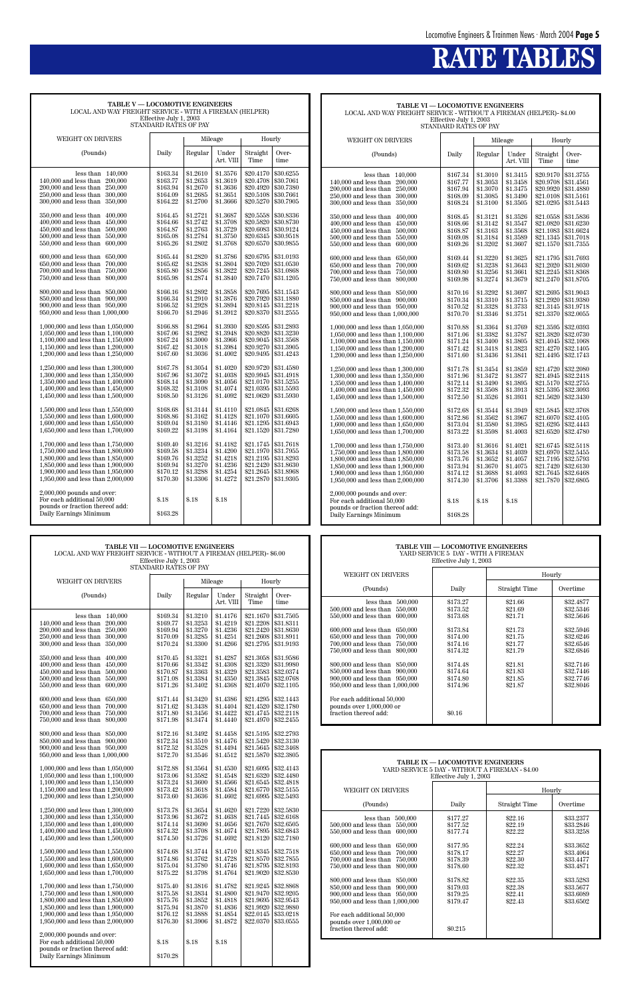# **RATE TABLES**

| TABLE V - LOCOMOTIVE ENGINEERS<br>LOCAL AND WAY FREIGHT SERVICE - WITH A FIREMAN (HELPER) |                      |                      |                      |                        |                        |  |  |  |  |  |
|-------------------------------------------------------------------------------------------|----------------------|----------------------|----------------------|------------------------|------------------------|--|--|--|--|--|
| Effective July 1, 2003                                                                    |                      |                      |                      |                        |                        |  |  |  |  |  |
| STANDARD RATES OF PAY                                                                     |                      |                      |                      |                        |                        |  |  |  |  |  |
| <b>WEIGHT ON DRIVERS</b>                                                                  |                      |                      | Mileage              | Hourly                 |                        |  |  |  |  |  |
| (Pounds)                                                                                  | Daily                | Regular              | Under<br>Art. VIII   | Straight<br>Time       | Over-<br>time          |  |  |  |  |  |
|                                                                                           |                      |                      |                      |                        |                        |  |  |  |  |  |
| 140,000<br>less than                                                                      | \$163.34             | \$1.2610             | \$1.3576             | \$20.4170              | \$30.6255              |  |  |  |  |  |
| 140,000 and less than<br>200,000<br>200,000 and less than<br>250,000                      | \$163.77<br>\$163.94 | \$1.2653<br>\$1.2670 | \$1.3619<br>\$1.3636 | \$20.4708<br>\$20.4920 | \$30.7061<br>\$30.7380 |  |  |  |  |  |
| $250.000$ and less than<br>300,000                                                        | \$164.09             | \$1.2685             | \$1.3651             | \$20.5108              | \$30.7661              |  |  |  |  |  |
| 300,000 and less than<br>350,000                                                          | \$164.22             | \$1.2700             | \$1.3666             | \$20.5270              | \$30.7905              |  |  |  |  |  |
| 350,000 and less than<br>400,000                                                          | \$164.45             | \$1.2721             | \$1.3687             | \$20.5558              | \$30.8336              |  |  |  |  |  |
| 400,000 and less than<br>450,000                                                          | \$164.66             | \$1.2742             | \$1.3708             | \$20.5820              | \$30.8730              |  |  |  |  |  |
| 450,000 and less than<br>500,000                                                          | \$164.87             | \$1.2763             | \$1.3729             | \$20.6083              | \$30.9124              |  |  |  |  |  |
| 500,000 and less than<br>550,000                                                          | \$165.08             | \$1.2784             | \$1.3750             | \$20.6345              | \$30.9518              |  |  |  |  |  |
| 550,000 and less than<br>600,000                                                          | \$165.26             | \$1.2802             | \$1.3768             | \$20.6570              | \$30.9855              |  |  |  |  |  |
| 600,000 and less than<br>650,000                                                          | \$165.44             | \$1.2820             | \$1.3786             | \$20.6795              | \$31.0193              |  |  |  |  |  |
| 650,000 and less than<br>700,000                                                          | \$165.62             | \$1.2838             | \$1.3804             | \$20.7020              | \$31.0530              |  |  |  |  |  |
| 700,000 and less than<br>750,000                                                          | \$165.80             | \$1.2856             | \$1.3822             | \$20.7245              | \$31.0868              |  |  |  |  |  |
| 750,000 and less than<br>800,000                                                          | \$165.98             | \$1.2874             | \$1.3840             | \$20.7470              | \$31.1205              |  |  |  |  |  |
| 800,000 and less than<br>850,000                                                          | \$166.16             | \$1.2892             | \$1.3858             | \$20.7695              | \$31.1543              |  |  |  |  |  |
| 850,000 and less than<br>900,000                                                          | \$166.34             | \$1.2910             | \$1.3876             | \$20.7920              | \$31.1880              |  |  |  |  |  |
| 900,000 and less than<br>950,000                                                          | \$166.52             | \$1.2928             | \$1.3894             | \$20.8145              | \$31.2218              |  |  |  |  |  |
| 950,000 and less than 1,000,000                                                           | \$166.70             | \$1.2946             | \$1.3912             | \$20.8370              | \$31.2555              |  |  |  |  |  |
| 1,000,000 and less than 1,050,000                                                         | \$166.88             | \$1.2964             | \$1.3930             | \$20.8595              | \$31.2893              |  |  |  |  |  |
| 1,050,000 and less than 1,100,000                                                         | \$167.06             | \$1.2982             | \$1.3948             | \$20.8820              | \$31.3230              |  |  |  |  |  |
| 1,100,000 and less than 1,150,000                                                         | \$167.24             | \$1.3000             | \$1.3966             | \$20.9045              | \$31.3568              |  |  |  |  |  |
| 1,150,000 and less than 1,200,000                                                         | \$167.42             | \$1.3018             | \$1.3984             | \$20.9270              | \$31.3905              |  |  |  |  |  |
| 1,200,000 and less than 1,250,000                                                         | \$167.60             | \$1.3036             | \$1.4002             | \$20.9495              | \$31.4243              |  |  |  |  |  |
| 1,250,000 and less than 1,300,000                                                         | \$167.78             | \$1.3054             | \$1.4020             | \$20.9720              | \$31.4580              |  |  |  |  |  |
| 1,300,000 and less than 1,350,000                                                         | \$167.96             | \$1.3072             | \$1.4038             | \$20.9945              | \$31.4918              |  |  |  |  |  |
| 1.350,000 and less than 1.400,000<br>1,400,000 and less than 1,450,000                    | \$168.14<br>\$168.32 | \$1,3090<br>\$1.3108 | \$1.4056<br>\$1.4074 | \$21.0170<br>\$21.0395 | \$31.5255<br>\$31.5593 |  |  |  |  |  |
| 1,450,000 and less than 1,500,000                                                         | \$168.50             | \$1.3126             | \$1.4092             | \$21.0620              | \$31.5930              |  |  |  |  |  |
| 1,500,000 and less than 1,550,000                                                         | \$168.68             | \$1.3144             | \$1.4110             | \$21.0845              | \$31.6268              |  |  |  |  |  |
| 1,550,000 and less than 1,600,000                                                         | \$168.86             | \$1.3162             | \$1.4128             | \$21.1070              | \$31.6605              |  |  |  |  |  |
| 1,600,000 and less than 1,650,000                                                         | \$169.04             | \$1.3180             | \$1.4146             | \$21.1295              | \$31.6943              |  |  |  |  |  |
| 1,650,000 and less than 1,700,000                                                         | \$169.22             | \$1.3198             | \$1.4164             | \$21.1520              | \$31.7280              |  |  |  |  |  |
| 1,700,000 and less than 1,750,000                                                         | \$169.40             | \$1.3216             | \$1.4182             | \$21.1745              | \$31.7618              |  |  |  |  |  |
| 1,750,000 and less than 1,800,000                                                         | \$169.58             | \$1.3234             | \$1.4200             | \$21.1970              | \$31.7955              |  |  |  |  |  |
| 1,800,000 and less than 1,850,000                                                         | \$169.76             | \$1.3252             | \$1.4218             | \$21.2195              | \$31.8293              |  |  |  |  |  |
| 1.850,000 and less than 1.900,000                                                         | \$169.94             | \$1,3270<br>\$1.3288 | \$1.4236<br>\$1.4254 | \$21.2420<br>\$21.2645 | \$31.8630<br>\$31.8968 |  |  |  |  |  |
| 1,900,000 and less than 1,950,000<br>1,950,000 and less than 2,000,000                    | \$170.12<br>\$170.30 | \$1.3306             | \$1.4272             | \$21.2870              | \$31.9305              |  |  |  |  |  |
|                                                                                           |                      |                      |                      |                        |                        |  |  |  |  |  |
| $2,000,000$ pounds and over:                                                              |                      |                      |                      |                        |                        |  |  |  |  |  |
| For each additional 50,000<br>pounds or fraction thereof add:                             | \$.18                | \$.18                | \$.18                |                        |                        |  |  |  |  |  |
| Daily Earnings Minimum                                                                    | \$163.28             |                      |                      |                        |                        |  |  |  |  |  |
|                                                                                           |                      |                      |                      |                        |                        |  |  |  |  |  |

| <b>TABLE VI — LOCOMOTIVE ENGINEERS</b>                             |  |  |  |  |  |  |
|--------------------------------------------------------------------|--|--|--|--|--|--|
| LOCAL AND WAY FREIGHT SERVICE - WITHOUT A FIREMAN (HELPER)- \$4.00 |  |  |  |  |  |  |
| Effective July 1, 2003                                             |  |  |  |  |  |  |
| STANDARD RATES OF PAY                                              |  |  |  |  |  |  |

| WEIGHT ON DRIVERS                                                                                                                                                                                                                                                                                                                                                                                                                                                                                                                                                                                                                                                                                                                                                                                                                                                                                                                                                           |                                                                                                                                                                                                                                                                                                                      |                                                                                                                                                                                                                                                                                                                      | Mileage                                                                                                                                                                                                                                                                                                              | Hourly                                                                                                                                                                                                                                                                                                                                         |                                                                                                                                                                                                                                                                                                                                                |  |
|-----------------------------------------------------------------------------------------------------------------------------------------------------------------------------------------------------------------------------------------------------------------------------------------------------------------------------------------------------------------------------------------------------------------------------------------------------------------------------------------------------------------------------------------------------------------------------------------------------------------------------------------------------------------------------------------------------------------------------------------------------------------------------------------------------------------------------------------------------------------------------------------------------------------------------------------------------------------------------|----------------------------------------------------------------------------------------------------------------------------------------------------------------------------------------------------------------------------------------------------------------------------------------------------------------------|----------------------------------------------------------------------------------------------------------------------------------------------------------------------------------------------------------------------------------------------------------------------------------------------------------------------|----------------------------------------------------------------------------------------------------------------------------------------------------------------------------------------------------------------------------------------------------------------------------------------------------------------------|------------------------------------------------------------------------------------------------------------------------------------------------------------------------------------------------------------------------------------------------------------------------------------------------------------------------------------------------|------------------------------------------------------------------------------------------------------------------------------------------------------------------------------------------------------------------------------------------------------------------------------------------------------------------------------------------------|--|
| (Pounds)                                                                                                                                                                                                                                                                                                                                                                                                                                                                                                                                                                                                                                                                                                                                                                                                                                                                                                                                                                    | Daily                                                                                                                                                                                                                                                                                                                | Regular                                                                                                                                                                                                                                                                                                              | Under<br>Art. VIII                                                                                                                                                                                                                                                                                                   | Straight<br>Time                                                                                                                                                                                                                                                                                                                               | Over-<br>time                                                                                                                                                                                                                                                                                                                                  |  |
| less than<br>140,000<br>$140,000$ and less than<br>200,000<br>200,000 and less than<br>250,000<br>250,000 and less than<br>300,000<br>300,000 and less than<br>350,000<br>350,000 and less than<br>400.000<br>400,000 and less than<br>450,000<br>450,000 and less than<br>500,000<br>500,000 and less than<br>550,000<br>550,000 and less than<br>600,000<br>600,000 and less than<br>650,000<br>650,000 and less than<br>700,000<br>700,000 and less than<br>750,000<br>750,000 and less than<br>800,000<br>800,000 and less than<br>850,000<br>850,000 and less than<br>900,000<br>900,000 and less than<br>950,000<br>$950,\!000$ and less than $1,\!000,\!000$<br>1,000,000 and less than 1,050,000<br>1,050,000 and less than 1,100,000<br>1.100,000 and less than 1.150,000<br>1,150,000 and less than 1,200,000<br>1,200,000 and less than 1,250,000<br>1,250,000 and less than 1,300,000<br>1,300,000 and less than 1,350,000<br>1.350,000 and less than 1.400,000 | \$167.34<br>\$167.77<br>\$167.94<br>\$168.09<br>\$168.24<br>\$168.45<br>\$168.66<br>\$168.87<br>\$169.08<br>\$169.26<br>\$169.44<br>\$169.62<br>\$169.80<br>\$169.98<br>\$170.16<br>\$170.34<br>\$170.52<br>\$170.70<br>\$170.88<br>\$171.06<br>\$171.24<br>\$171.42<br>\$171.60<br>\$171.78<br>\$171.96<br>\$172.14 | \$1.3010<br>\$1.3053<br>\$1.3070<br>\$1.3085<br>\$1.3100<br>\$1.3121<br>\$1.3142<br>\$1.3163<br>\$1.3184<br>\$1.3202<br>\$1.3220<br>\$1.3238<br>\$1.3256<br>\$1.3274<br>\$1.3292<br>\$1.3310<br>\$1.3328<br>\$1.3346<br>\$1.3364<br>\$1.3382<br>\$1.3400<br>\$1.3418<br>\$1.3436<br>\$1.3454<br>\$1.3472<br>\$1.3490 | \$1.3415<br>\$1.3458<br>\$1.3475<br>\$1.3490<br>\$1.3505<br>\$1.3526<br>\$1.3547<br>\$1.3568<br>\$1.3589<br>\$1.3607<br>\$1.3625<br>\$1.3643<br>\$1.3661<br>\$1.3679<br>\$1.3697<br>\$1.3715<br>\$1.3733<br>\$1.3751<br>\$1.3769<br>\$1.3787<br>\$1.3805<br>\$1.3823<br>\$1.3841<br>\$1.3859<br>\$1.3877<br>\$1.3895 | \$20.9170<br>\$20.9708<br>\$20.9920<br>\$21.0108<br>\$21.0295<br>\$21.0558<br>\$21.0820<br>\$21.1083<br>\$21.1345<br>\$21.1570<br>\$21.1795<br>\$21.2020<br>\$21.2245<br>\$21.2470<br>\$21.2695<br>\$21.2920<br>\$21.3145<br>\$21.3370<br>\$21.3595<br>\$21.3820<br>\$21.4045<br>\$21.4270<br>\$21.4495<br>\$21.4720<br>\$21.4945<br>\$21.5170 | \$31.3755<br>\$31.4561<br>\$31.4880<br>\$31.5161<br>\$31.5443<br>\$31.5836<br>\$31.6230<br>\$31.6624<br>\$31.7018<br>\$31.7355<br>\$31.7693<br>\$31.8030<br>\$31.8368<br>\$31.8705<br>\$31.9043<br>\$31.9380<br>\$31.9718<br>\$32.0055<br>\$32.0393<br>\$32.0730<br>\$32.1068<br>\$32.1405<br>\$32.1743<br>\$32,2080<br>\$32.2418<br>\$32.2755 |  |
| 1,400,000 and less than 1,450,000<br>1,450,000 and less than 1,500,000<br>1,500,000 and less than 1,550,000<br>1,550,000 and less than 1,600,000<br>1,600,000 and less than 1,650,000                                                                                                                                                                                                                                                                                                                                                                                                                                                                                                                                                                                                                                                                                                                                                                                       | \$172.32<br>\$172.50<br>\$172.68<br>\$172.86<br>\$173.04                                                                                                                                                                                                                                                             | \$1.3508<br>\$1.3526<br>\$1.3544<br>\$1.3562<br>\$1.3580                                                                                                                                                                                                                                                             | \$1.3913<br>\$1.3931<br>\$1.3949<br>\$1.3967<br>\$1.3985                                                                                                                                                                                                                                                             | \$21.5395<br>\$21.5620<br>\$21.5845<br>\$21.6070<br>\$21.6295                                                                                                                                                                                                                                                                                  | \$32,3093<br>\$32,3430<br>\$32.3768<br>\$32.4105<br>\$32.4443                                                                                                                                                                                                                                                                                  |  |
| 1,650,000 and less than 1,700,000<br>1,700,000 and less than 1,750,000<br>1,750,000 and less than 1,800,000<br>1,800,000 and less than 1,850,000<br>1.850,000 and less than 1.900,000<br>1,900,000 and less than 1,950,000<br>1,950,000 and less than 2,000,000                                                                                                                                                                                                                                                                                                                                                                                                                                                                                                                                                                                                                                                                                                             | \$173.22<br>\$173.40<br>\$173.58<br>\$173.76<br>\$173.94<br>\$174.12<br>\$174.30                                                                                                                                                                                                                                     | \$1.3598<br>\$1.3616<br>\$1.3634<br>\$1.3652<br>\$1.3670<br>\$1.3688<br>\$1.3706                                                                                                                                                                                                                                     | \$1.4003<br>\$1.4021<br>\$1.4039<br>\$1.4057<br>\$1.4075<br>\$1.4093<br>\$1.3388                                                                                                                                                                                                                                     | \$21.6520<br>\$21.6745<br>\$21.6970<br>\$21.7195<br>\$21.7420<br>\$21.7645<br>\$21.7870                                                                                                                                                                                                                                                        | \$32.4780<br>\$32.5118<br>\$32.5455<br>\$32.5793<br>\$32.6130<br>\$32.6468<br>\$32.6805                                                                                                                                                                                                                                                        |  |
| $2,000,000$ pounds and over:<br>For each additional 50,000<br>pounds or fraction thereof add:<br>Daily Earnings Minimum                                                                                                                                                                                                                                                                                                                                                                                                                                                                                                                                                                                                                                                                                                                                                                                                                                                     | \$.18<br>\$168.28                                                                                                                                                                                                                                                                                                    | \$.18                                                                                                                                                                                                                                                                                                                | \$.18                                                                                                                                                                                                                                                                                                                |                                                                                                                                                                                                                                                                                                                                                |                                                                                                                                                                                                                                                                                                                                                |  |

**TABLE VII — LOCOMOTIVE ENGINEERS**

| LOCAL AND WAY FREIGHT SERVICE - WITHOUT A FIREMAN (HELPER)- \$6.00<br>Effective July 1, 2003<br>STANDARD RATES OF PAY |                      |                      |                      |                          | YARD SERVICE 5 DAY - WITH A FIREMAN<br>Effective July 1, 2003 |                                                                                    |                      |                        |                        |  |
|-----------------------------------------------------------------------------------------------------------------------|----------------------|----------------------|----------------------|--------------------------|---------------------------------------------------------------|------------------------------------------------------------------------------------|----------------------|------------------------|------------------------|--|
|                                                                                                                       |                      |                      |                      | <b>WEIGHT ON DRIVERS</b> |                                                               |                                                                                    | Hourly               |                        |                        |  |
| WEIGHT ON DRIVERS<br>(Pounds)                                                                                         | Daily                | Regular              | Mileage<br>Under     | Hourly<br>Straight       | Over-                                                         | (Pounds)                                                                           | Daily                | Straight Time          | Overtime               |  |
|                                                                                                                       |                      |                      | Art. VIII            | Time                     | time                                                          | less than $500,000$<br>500,000 and less than 550,000                               | \$173.27<br>\$173.52 | \$21.66<br>\$21.69     | \$32.4877<br>\$32.5346 |  |
| less than $140,000$<br>140,000 and less than 200,000                                                                  | \$169.34<br>\$169.77 | \$1.3210<br>\$1.3253 | \$1.4176<br>\$1.4219 | \$21.1670<br>\$21.2208   | \$31.7505<br>\$31.8311                                        | 550,000 and less than 600,000                                                      | \$173.68             | \$21.71                | \$32.5646              |  |
| 200,000 and less than 250,000<br>250,000 and less than 300,000                                                        | \$169.94<br>\$170.09 | \$1.3270<br>\$1.3285 | \$1.4236<br>\$1.4251 | \$21.2420<br>\$21.2608   | \$31.8630<br>\$31.8911                                        | 600,000 and less than 650,000<br>650,000 and less than 700,000                     | \$173.84<br>\$174.00 | \$21.73<br>\$21.75     | \$32.5946<br>\$32.6246 |  |
| 300,000 and less than 350,000                                                                                         | \$170.24             | \$1.3300             | \$1.4266             |                          | \$21.2795 \$31.9193                                           | 700,000 and less than 750,000                                                      | \$174.16             | \$21.77                | \$32.6546              |  |
| 350,000 and less than 400,000                                                                                         | \$170.45             | \$1.3321             | \$1.4287             | \$21.3058                | \$31.9586                                                     | 750,000 and less than 800,000                                                      | \$174.32             | \$21.79                | \$32.6846              |  |
| 400,000 and less than 450,000<br>450,000 and less than 500,000                                                        | \$170.66<br>\$170.87 | \$1.3342<br>\$1.3363 | \$1.4308<br>\$1.4329 | \$21.3320<br>\$21.3583   | \$31.9980<br>\$32.0374                                        | 800,000 and less than 850,000<br>850,000 and less than 900,000                     | \$174.48<br>\$174.64 | \$21.81<br>\$21.83     | \$32.7146<br>\$32.7446 |  |
| 500,000 and less than 550,000                                                                                         | \$171.08             | \$1.3384             | \$1.4350             | \$21.3845                | \$32.0768                                                     | $900,\!000$ and less than $\,$ $950,\!000$                                         | \$174.80             | \$21.85                | \$32.7746              |  |
| 550,000 and less than 600,000                                                                                         | \$171.26             | \$1.3402             | \$1.4368             | \$21.4070                | \$32,1105                                                     | 950,000 and less than 1,000,000                                                    | \$174.96             | \$21.87                | \$32.8046              |  |
| $600,\!000$ and less than $\,$ $650,\!000$                                                                            | \$171.44             | \$1.3420             | \$1.4386             | \$21.4295                | \$32.1443                                                     | For each additional 50,000                                                         |                      |                        |                        |  |
| 650,000 and less than 700,000<br>700,000 and less than 750,000                                                        | \$171.62<br>\$171.80 | \$1.3438<br>\$1.3456 | \$1.4404<br>\$1.4422 | \$21.4520<br>\$21.4745   | \$32.1780<br>\$32.2118                                        | pounds over 1,000,000 or<br>fraction thereof add:                                  | \$0.16               |                        |                        |  |
| 750,000 and less than 800,000                                                                                         | \$171.98             | \$1.3474             | \$1.4440             | \$21.4970                | \$32,2455                                                     |                                                                                    |                      |                        |                        |  |
| $800,\!000$ and less than $~850,\!000$                                                                                | \$172.16             | \$1.3492             | \$1.4458             | \$21.5195                | \$32,2793                                                     |                                                                                    |                      |                        |                        |  |
| 850,000 and less than 900,000<br>900,000 and less than 950,000                                                        | \$172.34<br>\$172.52 | \$1.3510<br>\$1.3528 | \$1.4476<br>\$1.4494 | \$21.5420<br>\$21.5645   | \$32.3130<br>\$32.3468                                        |                                                                                    |                      |                        |                        |  |
| 950,000 and less than 1,000,000                                                                                       | \$172.70             | \$1.3546             | \$1.4512             | \$21.5870                | \$32.3805                                                     |                                                                                    |                      |                        |                        |  |
| 1,000,000 and less than 1,050,000                                                                                     | \$172.88             | \$1.3564             | \$1.4530             | \$21.6095                | \$32.4143                                                     | TABLE IX - LOCOMOTIVE ENGINEERS<br>YARD SERVICE 5 DAY - WITHOUT A FIREMAN - \$4.00 |                      |                        |                        |  |
| 1,050,000 and less than 1,100,000                                                                                     |                      |                      |                      |                          |                                                               |                                                                                    |                      | Effective July 1, 2003 |                        |  |
|                                                                                                                       | \$173.06             | \$1.3582             | \$1.4548             | \$21.6320                | \$32,4480                                                     |                                                                                    |                      |                        |                        |  |
| 1,100,000 and less than 1,150,000<br>1,150,000 and less than 1,200,000                                                | \$173.24<br>\$173.42 | \$1.3600<br>\$1.3618 | \$1.4566<br>\$1.4584 | \$21.6770                | \$21.6545   \$32.4818<br>\$32.5155                            | <b>WEIGHT ON DRIVERS</b>                                                           |                      |                        | Hourly                 |  |
| 1,200,000 and less than 1,250,000                                                                                     | \$173.60             | \$1.3636             | \$1.4602             | \$21.6995                | \$32.5493                                                     |                                                                                    |                      |                        |                        |  |
| 1,250,000 and less than 1,300,000                                                                                     | \$173.78             | \$1.3654             | \$1.4620             | \$21.7220                | \$32.5830                                                     | (Pounds)                                                                           | Daily                | Straight Time          | Overtime               |  |
| 1,300,000 and less than 1,350,000<br>1,350,000 and less than 1,400,000                                                | \$173.96<br>\$174.14 | \$1.3672<br>\$1.3690 | \$1.4638<br>\$1.4656 | \$21.7670                | \$21.7445 \$32.6168<br>\$32.6505                              | less than $500,000$<br>500,000 and less than 550,000                               | \$177.27<br>\$177.52 | \$22.16<br>\$22.19     | \$33.2377<br>\$33.2846 |  |
| 1,400,000 and less than 1,450,000<br>1,450,000 and less than 1,500,000                                                | \$174.32<br>\$174.50 | \$1.3708<br>\$1.3726 | \$1.4674<br>\$1.4692 | \$21.7895<br>\$21.8120   | \$32.6843<br>\$32.7180                                        | 550,000 and less than 600,000                                                      | \$177.74             | \$22.22                | \$33,3258              |  |
|                                                                                                                       |                      |                      |                      |                          |                                                               | 600,000 and less than 650,000                                                      | \$177.95             | \$22.24                | \$33,3652              |  |
| 1,500,000 and less than 1,550,000<br>1,550,000 and less than 1,600,000                                                | \$174.68<br>\$174.86 | \$1.3744<br>\$1.3762 | \$1.4710<br>\$1.4728 | \$21.8345<br>\$21.8570   | \$32.7518<br>\$32.7855                                        | 650,000 and less than 700,000<br>700,000 and less than 750,000                     | \$178.17<br>\$178.39 | \$22.27<br>\$22.30     | \$33.4064<br>\$33.4477 |  |
| 1,600,000 and less than 1,650,000                                                                                     | \$175.04             | \$1.3780             | \$1.4746             | \$21.8795                | \$32.8193                                                     | 750,000 and less than 800,000                                                      | \$178.60             | \$22.32                | \$33.4871              |  |
| 1,650,000 and less than 1,700,000                                                                                     | \$175.22             | \$1.3798             | \$1.4764             | \$21.9020                | \$32.8530                                                     | 800,000 and less than 850,000                                                      | \$178.82             | \$22.35                | \$33.5283              |  |
| 1,700,000 and less than 1,750,000<br>1.750,000 and less than 1.800,000                                                | \$175.40<br>\$175.58 | \$1.3816<br>\$1.3834 | \$1.4782<br>\$1.4800 | \$21.9245<br>\$21.9470   | \$32.8868<br>\$32.9205                                        | 850,000 and less than 900,000                                                      | \$179.03             | \$22.38                | \$33.5677              |  |
| 1,800,000 and less than 1,850,000                                                                                     | \$175.76             | \$1.3852             | \$1.4818             | \$21.9695                | \$32.9543                                                     | 900,000 and less than 950,000<br>950,000 and less than 1,000,000                   | \$179.25<br>\$179.47 | \$22.41<br>\$22.43     | \$33.6089<br>\$33.6502 |  |
| 1.850,000 and less than 1.900,000<br>1,900,000 and less than 1,950,000                                                | \$175.94<br>\$176.12 | \$1.3870<br>\$1,3888 | \$1.4836<br>\$1.4854 | \$21.9920<br>\$22.0145   | \$32.9880<br>\$33.0218                                        |                                                                                    |                      |                        |                        |  |
| 1,950,000 and less than 2,000,000                                                                                     | \$176.30             | \$1.3906             | \$1.4872             | \$22.0370                | \$33.0555                                                     | For each additional 50,000<br>pounds over 1,000,000 or                             |                      |                        |                        |  |
| $2,000,000$ pounds and over:                                                                                          |                      |                      |                      |                          |                                                               | fraction thereof add:                                                              | \$0.215              |                        |                        |  |
| For each additional 50,000<br>pounds or fraction thereof add:                                                         | \$.18                | \$.18                | \$.18                |                          |                                                               |                                                                                    |                      |                        |                        |  |
| Daily Earnings Minimum                                                                                                | \$170.28             |                      |                      |                          |                                                               |                                                                                    |                      |                        |                        |  |

I  $\overline{\phantom{a}}$ 

| <b>TABLE VIII — LOCOMOTIVE ENGINEERS</b> |
|------------------------------------------|
| YARD SERVICE 5 DAY - WITH A FIREMAN      |
| Effective July 1 2003                    |

| <b>WEIGHT ON DRIVERS</b>                                                                                                                                                                                                                                                                                                                                                                                                                                                 |                                                                                                                                            |                                                                                                                       | Hourly                                                                                                                                      |
|--------------------------------------------------------------------------------------------------------------------------------------------------------------------------------------------------------------------------------------------------------------------------------------------------------------------------------------------------------------------------------------------------------------------------------------------------------------------------|--------------------------------------------------------------------------------------------------------------------------------------------|-----------------------------------------------------------------------------------------------------------------------|---------------------------------------------------------------------------------------------------------------------------------------------|
| (Pounds)                                                                                                                                                                                                                                                                                                                                                                                                                                                                 | Daily                                                                                                                                      | Straight Time                                                                                                         | Overtime                                                                                                                                    |
| less than<br>500,000<br>500,000 and less than<br>550,000<br>550,000 and less than<br>600,000<br>600,000 and less than<br>650,000<br>650,000 and less than<br>700,000<br>700,000 and less than<br>750,000<br>750,000 and less than<br>800,000<br>800,000 and less than 850,000<br>850,000 and less than<br>900,000<br>900,000 and less than 950,000<br>950,000 and less than 1,000,000<br>For each additional 50,000<br>pounds over 1,000,000 or<br>fraction thereof add: | \$173.27<br>\$173.52<br>\$173.68<br>\$173.84<br>\$174.00<br>\$174.16<br>\$174.32<br>\$174.48<br>\$174.64<br>\$174.80<br>\$174.96<br>\$0.16 | \$21.66<br>\$21.69<br>\$21.71<br>\$21.73<br>\$21.75<br>\$21.77<br>\$21.79<br>\$21.81<br>\$21.83<br>\$21.85<br>\$21.87 | \$32,4877<br>\$32.5346<br>\$32.5646<br>\$32.5946<br>\$32.6246<br>\$32.6546<br>\$32.6846<br>\$32.7146<br>\$32.7446<br>\$32.7746<br>\$32.8046 |
|                                                                                                                                                                                                                                                                                                                                                                                                                                                                          |                                                                                                                                            |                                                                                                                       |                                                                                                                                             |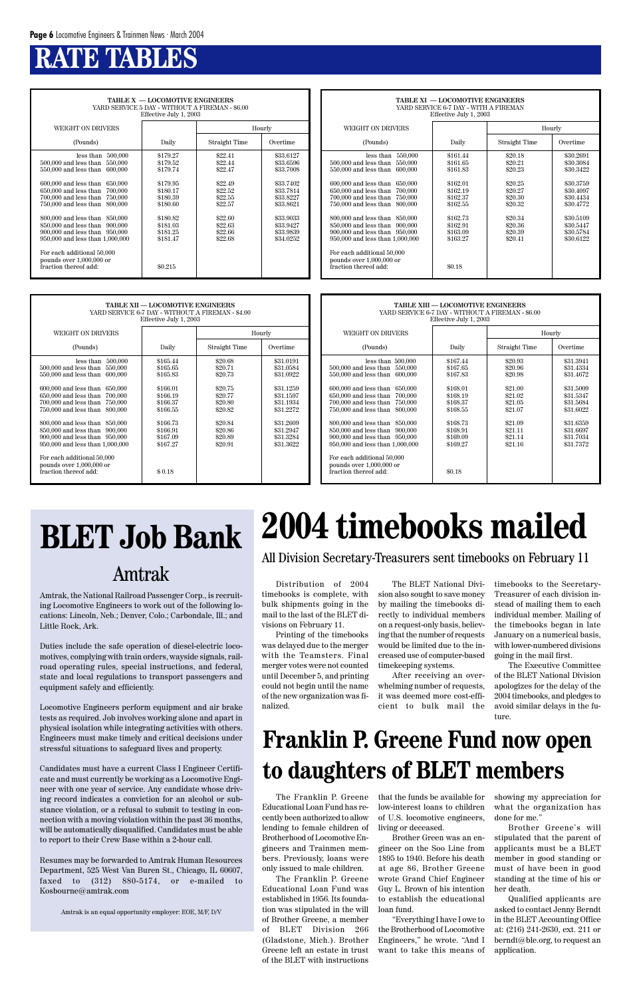## **RATE TABLES**

| TABLE X - LOCOMOTIVE ENGINEERS<br>YARD SERVICE 5 DAY - WITHOUT A FIREMAN - \$6.00<br>Effective July 1, 2003                                                                                                                                                                                                                                                                                                                                                  |                                                                                                                                             |                                                                                                                       |                                                                                                                                             |  |  |  |  |  |  |
|--------------------------------------------------------------------------------------------------------------------------------------------------------------------------------------------------------------------------------------------------------------------------------------------------------------------------------------------------------------------------------------------------------------------------------------------------------------|---------------------------------------------------------------------------------------------------------------------------------------------|-----------------------------------------------------------------------------------------------------------------------|---------------------------------------------------------------------------------------------------------------------------------------------|--|--|--|--|--|--|
| WEIGHT ON DRIVERS                                                                                                                                                                                                                                                                                                                                                                                                                                            |                                                                                                                                             |                                                                                                                       | Hourly                                                                                                                                      |  |  |  |  |  |  |
| (Pounds)                                                                                                                                                                                                                                                                                                                                                                                                                                                     | Daily                                                                                                                                       | Straight Time                                                                                                         | Overtime                                                                                                                                    |  |  |  |  |  |  |
| 500,000<br>less than<br>500,000 and less than<br>550,000<br>550,000 and less than<br>600,000<br>600,000 and less than 650,000<br>650,000 and less than<br>700,000<br>700,000 and less than 750,000<br>750,000 and less than 800,000<br>800,000 and less than 850,000<br>850,000 and less than 900,000<br>900,000 and less than 950,000<br>950,000 and less than 1,000,000<br>For each additional 50,000<br>pounds over 1,000,000 or<br>fraction thereof add: | \$179.27<br>\$179.52<br>\$179.74<br>\$179.95<br>\$180.17<br>\$180.39<br>\$180.60<br>\$180.82<br>\$181.03<br>\$181.25<br>\$181.47<br>\$0.215 | \$22.41<br>\$22.44<br>\$22.47<br>\$22.49<br>\$22.52<br>\$22.55<br>\$22.57<br>\$22.60<br>\$22.63<br>\$22.66<br>\$22.68 | \$33.6127<br>\$33.6596<br>\$33.7008<br>\$33.7402<br>\$33.7814<br>\$33.8227<br>\$33.8621<br>\$33,9033<br>\$33.9427<br>\$33.9839<br>\$34.0252 |  |  |  |  |  |  |

| <b>TABLE XI - LOCOMOTIVE ENGINEERS</b><br>YARD SERVICE 6-7 DAY - WITH A FIREMAN<br>Effective July 1, 2003                                                                                                                                                                                                                                                                                                                                                      |                                                                                                                                            |                                                                                                                       |                                                                                                                                             |  |  |  |  |  |
|----------------------------------------------------------------------------------------------------------------------------------------------------------------------------------------------------------------------------------------------------------------------------------------------------------------------------------------------------------------------------------------------------------------------------------------------------------------|--------------------------------------------------------------------------------------------------------------------------------------------|-----------------------------------------------------------------------------------------------------------------------|---------------------------------------------------------------------------------------------------------------------------------------------|--|--|--|--|--|
| WEIGHT ON DRIVERS                                                                                                                                                                                                                                                                                                                                                                                                                                              |                                                                                                                                            |                                                                                                                       | Hourly                                                                                                                                      |  |  |  |  |  |
| (Pounds)                                                                                                                                                                                                                                                                                                                                                                                                                                                       | Daily                                                                                                                                      | Straight Time                                                                                                         | Overtime                                                                                                                                    |  |  |  |  |  |
| less than $550,000$<br>500,000 and less than<br>550,000<br>550,000 and less than 600,000<br>600,000 and less than<br>650,000<br>650,000 and less than<br>700,000<br>700,000 and less than<br>750,000<br>750,000 and less than 800,000<br>800,000 and less than 850,000<br>850,000 and less than 900,000<br>900,000 and less than 950,000<br>950,000 and less than 1,000,000<br>For each additional 50,000<br>pounds over 1,000,000 or<br>fraction thereof add: | \$161.44<br>\$161.65<br>\$161.83<br>\$162.01<br>\$162.19<br>\$162.37<br>\$162.55<br>\$162.73<br>\$162.91<br>\$163.09<br>\$163.27<br>\$0.18 | \$20.18<br>\$20.21<br>\$20.23<br>\$20.25<br>\$20.27<br>\$20.30<br>\$20.32<br>\$20.34<br>\$20.36<br>\$20.39<br>\$20.41 | \$30.2691<br>\$30,3084<br>\$30.3422<br>\$30,3759<br>\$30.4097<br>\$30.4434<br>\$30.4772<br>\$30.5109<br>\$30.5447<br>\$30.5784<br>\$30.6122 |  |  |  |  |  |

| <b>TABLE XII - LOCOMOTIVE ENGINEERS</b><br>YARD SERVICE 6-7 DAY - WITHOUT A FIREMAN - \$4.00<br>Effective July 1, 2003 |          |               |           |  |  |
|------------------------------------------------------------------------------------------------------------------------|----------|---------------|-----------|--|--|
| WEIGHT ON DRIVERS                                                                                                      |          | Hourly        |           |  |  |
| (Pounds)                                                                                                               | Daily    | Straight Time | Overtime  |  |  |
| 500,000<br>less than                                                                                                   | \$165.44 | \$20.68       | \$31.0191 |  |  |
| 500,000 and less than<br>550,000                                                                                       | \$165.65 | \$20.71       | \$31.0584 |  |  |
| 550,000 and less than<br>600,000                                                                                       | \$165.83 | \$20.73       | \$31.0922 |  |  |
|                                                                                                                        |          |               |           |  |  |
| 600,000 and less than<br>650,000                                                                                       | \$166.01 | \$20.75       | \$31.1259 |  |  |
| 650,000 and less than<br>700,000                                                                                       | \$166.19 | \$20.77       | \$31.1597 |  |  |
| 700,000 and less than 750,000                                                                                          | \$166.37 | \$20.80       | \$31.1934 |  |  |
| 750,000 and less than<br>800,000                                                                                       | \$166.55 | \$20.82       | \$31.2272 |  |  |
|                                                                                                                        |          |               |           |  |  |
| 800,000 and less than 850,000                                                                                          | \$166.73 | \$20.84       | \$31.2609 |  |  |
| 850,000 and less than<br>900,000                                                                                       | \$166.91 | \$20.86       | \$31.2947 |  |  |
| 900,000 and less than 950,000                                                                                          | \$167.09 | \$20.89       | \$31.3284 |  |  |
| 950,000 and less than 1,000,000                                                                                        | \$167.27 | \$20.91       | \$31.3622 |  |  |
| For each additional 50,000<br>pounds over 1,000,000 or<br>fraction thereof add:                                        | \$0.18   |               |           |  |  |

# **BLET Job Bank** Amtrak Distribution of 2004

| <b>TABLE XIII - LOCOMOTIVE ENGINEERS</b><br>YARD SERVICE 6-7 DAY - WITHOUT A FIREMAN - \$6.00<br>Effective July 1, 2003                                                                                                                                                                                                                                                                 |                                                                                                                                  |                                                                                                                       |                                                                                                                                             |  |  |
|-----------------------------------------------------------------------------------------------------------------------------------------------------------------------------------------------------------------------------------------------------------------------------------------------------------------------------------------------------------------------------------------|----------------------------------------------------------------------------------------------------------------------------------|-----------------------------------------------------------------------------------------------------------------------|---------------------------------------------------------------------------------------------------------------------------------------------|--|--|
| WEIGHT ON DRIVERS                                                                                                                                                                                                                                                                                                                                                                       |                                                                                                                                  |                                                                                                                       | Hourly                                                                                                                                      |  |  |
| (Pounds)                                                                                                                                                                                                                                                                                                                                                                                | Daily                                                                                                                            | Straight Time                                                                                                         | Overtime                                                                                                                                    |  |  |
| less than $500,000$<br>500,000 and less than<br>550,000<br>550,000 and less than<br>600,000<br>600,000 and less than<br>650,000<br>650,000 and less than<br>700,000<br>700,000 and less than<br>750,000<br>800,000<br>750,000 and less than<br>800,000 and less than<br>850,000<br>850,000 and less than<br>900,000<br>900,000 and less than 950,000<br>950,000 and less than 1,000,000 | \$167.44<br>\$167.65<br>\$167.83<br>\$168.01<br>\$168.19<br>\$168.37<br>\$168.55<br>\$168.73<br>\$168.91<br>\$169.09<br>\$169.27 | \$20.93<br>\$20.96<br>\$20.98<br>\$21.00<br>\$21.02<br>\$21.05<br>\$21.07<br>\$21.09<br>\$21.11<br>\$21.14<br>\$21.16 | \$31.3941<br>\$31.4334<br>\$31.4672<br>\$31.5009<br>\$31.5347<br>\$31.5684<br>\$31.6022<br>\$31.6359<br>\$31.6697<br>\$31.7034<br>\$31.7372 |  |  |
| For each additional 50,000<br>pounds over 1,000,000 or<br>fraction thereof add:                                                                                                                                                                                                                                                                                                         | \$0.18                                                                                                                           |                                                                                                                       |                                                                                                                                             |  |  |

# **2004 timebooks mailed**

All Division Secretary-Treasurers sent timebooks on February 11

Amtrak, the National Railroad Passenger Corp., is recruiting Locomotive Engineers to work out of the following locations: Lincoln, Neb.; Denver, Colo.; Carbondale, Ill.; and Little Rock, Ark.

Duties include the safe operation of diesel-electric locomotives, complying with train orders, wayside signals, railroad operating rules, special instructions, and federal, state and local regulations to transport passengers and equipment safely and efficiently.

Locomotive Engineers perform equipment and air brake tests as required. Job involves working alone and apart in physical isolation while integrating activities with others. Engineers must make timely and critical decisions under stressful situations to safeguard lives and property.

Candidates must have a current Class I Engineer Certificate and must currently be working as a Locomotive Engineer with one year of service. Any candidate whose driving record indicates a conviction for an alcohol or substance violation, or a refusal to submit to testing in connection with a moving violation within the past 36 months, will be automatically disqualified. Candidates must be able to report to their Crew Base within a 2-hour call.

Resumes may be forwarded to Amtrak Human Resources Department, 525 West Van Buren St., Chicago, IL 60607, faxed to (312) 880-5174, or e-mailed to Kosbourne@amtrak.com

Amtrak is an equal opportunity employer: EOE, M/F, D/V

timebooks is complete, with bulk shipments going in the mail to the last of the BLET divisions on February 11.

Printing of the timebooks was delayed due to the merger with the Teamsters. Final merger votes were not counted until December 5, and printing could not begin until the name of the new organization was finalized.

The BLET National Division also sought to save money by mailing the timebooks directly to individual members on a request-only basis, believing that the number of requests would be limited due to the increased use of computer-based timekeeping systems.

After receiving an overwhelming number of requests, it was deemed more cost-efficient to bulk mail the

timebooks to the Secretary-Treasurer of each division instead of mailing them to each individual member. Mailing of the timebooks began in late January on a numerical basis, with lower-numbered divisions going in the mail first.

The Executive Committee of the BLET National Division apologizes for the delay of the 2004 timebooks, and pledges to avoid similar delays in the future.

The Franklin P. Greene Educational Loan Fund has recently been authorized to allow lending to female children of Brotherhood of Locomotive Engineers and Trainmen members. Previously, loans were only issued to male children.

The Franklin P. Greene Educational Loan Fund was established in 1956. Its foundation was stipulated in the will of Brother Greene, a member of BLET Division 266 (Gladstone, Mich.). Brother Greene left an estate in trust of the BLET with instructions

that the funds be available for low-interest loans to children of U.S. locomotive engineers, living or deceased.

Brother Green was an engineer on the Soo Line from 1895 to 1940. Before his death at age 86, Brother Greene wrote Grand Chief Engineer Guy L. Brown of his intention to establish the educational loan fund.

"Everything I have I owe to the Brotherhood of Locomotive Engineers," he wrote. "And I want to take this means of

showing my appreciation for what the organization has done for me."

Brother Greene's will stipulated that the parent of applicants must be a BLET member in good standing or must of have been in good standing at the time of his or her death.

Qualified applicants are asked to contact Jenny Berndt in the BLET Accounting Office at: (216) 241-2630, ext. 211 or berndt@ble.org, to request an application.

### **Franklin P. Greene Fund now open to daughters of BLET members**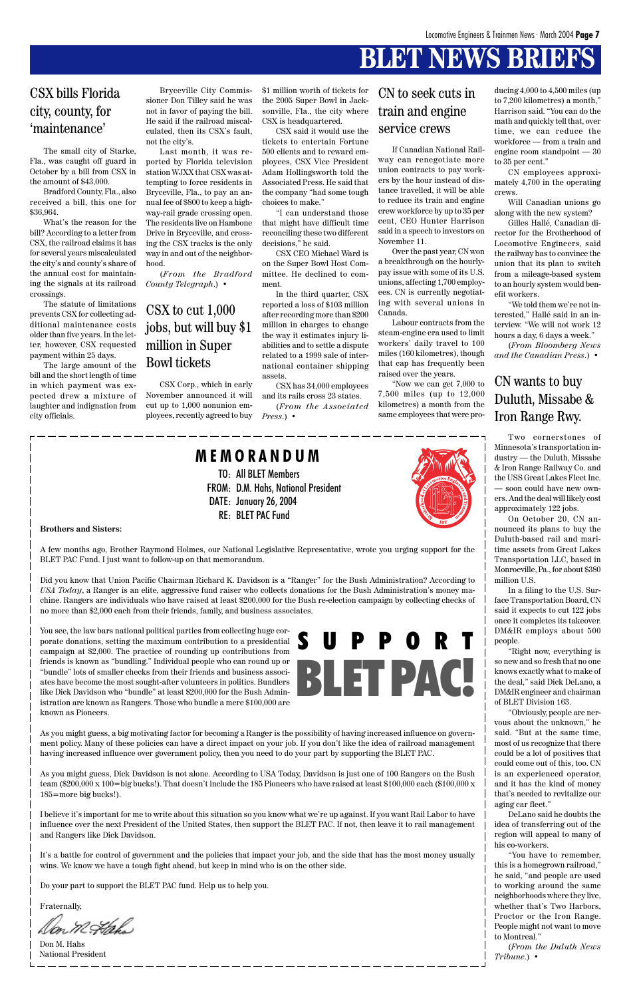# **BLET NEWS BRIEFS**

#### **Brothers and Sisters:**

A few months ago, Brother Raymond Holmes, our National Legislative Representative, wrote you urging support for the BLET PAC Fund. I just want to follow-up on that memorandum.

Did you know that Union Pacific Chairman Richard K. Davidson is a "Ranger" for the Bush Administration? According to *USA Today*, a Ranger is an elite, aggressive fund raiser who collects donations for the Bush Administration's money machine. Rangers are individuals who have raised at least \$200,000 for the Bush re-election campaign by collecting checks of no more than \$2,000 each from their friends, family, and business associates.

You see, the law bars national political parties from collecting huge corporate donations, setting the maximum contribution to a presidential campaign at \$2,000. The practice of rounding up contributions from friends is known as "bundling." Individual people who can round up or "bundle" lots of smaller checks from their friends and business associates have become the most sought-after volunteers in politics. Bundlers like Dick Davidson who "bundle" at least \$200,000 for the Bush Administration are known as Rangers. Those who bundle a mere \$100,000 are known as Pioneers.

As you might guess, a big motivating factor for becoming a Ranger is the possibility of having increased influence on government policy. Many of these policies can have a direct impact on your job. If you don't like the idea of railroad management having increased influence over government policy, then you need to do your part by supporting the BLET PAC.

As you might guess, Dick Davidson is not alone. According to USA Today, Davidson is just one of 100 Rangers on the Bush team (\$200,000 x 100=big bucks!). That doesn't include the 185 Pioneers who have raised at least \$100,000 each (\$100,000 x 185=more big bucks!).

I believe it's important for me to write about this situation so you know what we're up against. If you want Rail Labor to have influence over the next President of the United States, then support the BLET PAC. If not, then leave it to rail management and Rangers like Dick Davidson.

It's a battle for control of government and the policies that impact your job, and the side that has the most money usually wins. We know we have a tough fight ahead, but keep in mind who is on the other side.

Do your part to support the BLET PAC fund. Help us to help you.

Fraternally,

TO: All BLET Members

FROM: D.M. Hahs, National President

DATE: January 26, 2004 RE: BLET PAC Fund

**M E M O R A N D U M**

The small city of Starke, Fla., was caught off guard in October by a bill from CSX in the amount of \$43,000.

Bradford County, Fla., also received a bill, this one for \$36,964.

What's the reason for the bill? According to a letter from CSX, the railroad claims it has for several years miscalculated the city's and county's share of the annual cost for maintaining the signals at its railroad crossings.

The statute of limitations prevents CSX for collecting additional maintenance costs older than five years. In the letter, however, CSX requested payment within 25 days.

The large amount of the bill and the short length of time in which payment was expected drew a mixture of laughter and indignation from city officials.

### CSX bills Florida city, county, for 'maintenance'

Bryceville City Commissioner Don Tilley said he was not in favor of paying the bill. He said if the railroad miscalculated, then its CSX's fault, not the city's.

Last month, it was reported by Florida television station WJXX that CSX was attempting to force residents in Bryceville, Fla., to pay an annual fee of \$800 to keep a highway-rail grade crossing open. The residents live on Hambone Drive in Bryceville, and crossing the CSX tracks is the only way in and out of the neighborhood.

(*From the Bradford County Telegraph*.) •

CSX Corp., which in early November announced it will cut up to 1,000 nonunion employees, recently agreed to buy

### CSX to cut 1,000 jobs, but will buy \$1 million in Super Bowl tickets

\$1 million worth of tickets for the 2005 Super Bowl in Jacksonville, Fla., the city where CSX is headquartered.

CSX said it would use the tickets to entertain Fortune 500 clients and to reward employees, CSX Vice President Adam Hollingsworth told the Associated Press. He said that the company "had some tough choices to make."

"I can understand those that might have difficult time reconciling these two different decisions," he said.

CSX CEO Michael Ward is on the Super Bowl Host Committee. He declined to comment.

In the third quarter, CSX reported a loss of \$103 million after recording more than \$200 million in charges to change the way it estimates injury liabilities and to settle a dispute related to a 1999 sale of international container shipping assets.

CSX has 34,000 employees and its rails cross 23 states. (*From the Associated Press*.) •

If Canadian National Railway can renegotiate more union contracts to pay workers by the hour instead of distance travelled, it will be able to reduce its train and engine crew workforce by up to 35 per cent, CEO Hunter Harrison said in a speech to investors on November 11.

Over the past year, CN won a breakthrough on the hourlypay issue with some of its U.S. unions, affecting 1,700 employees. CN is currently negotiating with several unions in Canada.

Labour contracts from the steam-engine era used to limit workers' daily travel to 100 miles (160 kilometres), though that cap has frequently been raised over the years.

"Now we can get 7,000 to 7,500 miles (up to 12,000 kilometres) a month from the same employees that were pro-

#### CN to seek cuts in train and engine service crews

ducing 4,000 to 4,500 miles (up to 7,200 kilometres) a month," Harrison said. "You can do the math and quickly tell that, over time, we can reduce the workforce — from a train and engine room standpoint — 30 to 35 per cent."

CN employees approximately 4,700 in the operating crews.

Will Canadian unions go along with the new system?

Gilles Hallé, Canadian director for the Brotherhood of Locomotive Engineers, said the railway has to convince the union that its plan to switch from a mileage-based system to an hourly system would benefit workers.

"We told them we're not interested," Hallé said in an interview. "We will not work 12 hours a day, 6 days a week."

(*From Bloomberg News and the Canadian Press*.) •

#### CN wants to buy Duluth, Missabe & Iron Range Rwy.

Two cornerstones of Minnesota's transportation industry — the Duluth, Missabe & Iron Range Railway Co. and the USS Great Lakes Fleet Inc. — soon could have new owners. And the deal will likely cost approximately 122 jobs.

On October 20, CN announced its plans to buy the Duluth-based rail and maritime assets from Great Lakes Transportation LLC, based in Monroeville, Pa., for about \$380 million U.S.

In a filing to the U.S. Surface Transportation Board, CN said it expects to cut 122 jobs once it completes its takeover. DM&IR employs about 500 people.

"Right now, everything is so new and so fresh that no one knows exactly what to make of the deal," said Dick DeLano, a DM&IR engineer and chairman of BLET Division 163.

"Obviously, people are nervous about the unknown," he said. "But at the same time, most of us recognize that there could be a lot of positives that could come out of this, too. CN is an experienced operator, and it has the kind of money that's needed to revitalize our aging car fleet." DeLano said he doubts the idea of transferring out of the region will appeal to many of his co-workers. "You have to remember, this is a homegrown railroad," he said, "and people are used to working around the same neighborhoods where they live, whether that's Two Harbors, Proctor or the Iron Range. People might not want to move to Montreal."

(*From the Duluth News Tribune*.) •

Don M. Hahs National President